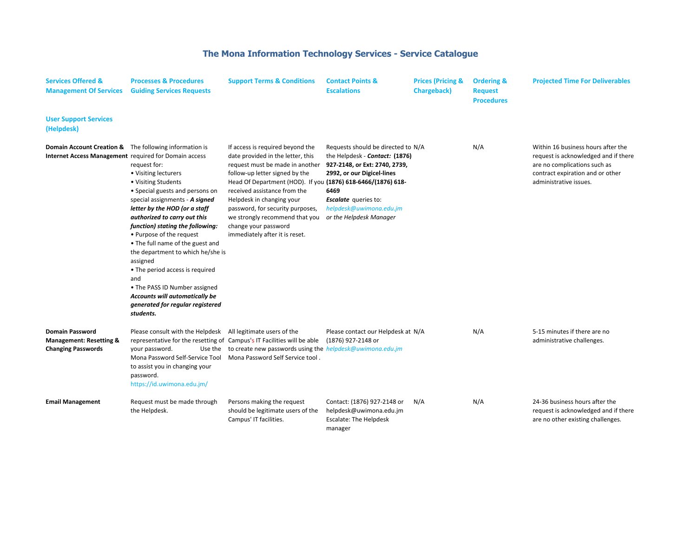## **The Mona Information Technology Services - Service Catalogue**

| <b>Services Offered &amp;</b><br><b>Management Of Services</b>                                                             | <b>Processes &amp; Procedures</b><br><b>Guiding Services Requests</b>                                                                                                                                                                                                                                                                                                                                                                                                                                                | <b>Support Terms &amp; Conditions</b>                                                                                                                                                                                                                                                                                                                                                                   | <b>Contact Points &amp;</b><br><b>Escalations</b>                                                                                                                                                                                | <b>Prices (Pricing &amp;</b><br><b>Chargeback</b> ) | <b>Ordering &amp;</b><br><b>Request</b><br><b>Procedures</b> | <b>Projected Time For Deliverables</b>                                                                                                                                   |
|----------------------------------------------------------------------------------------------------------------------------|----------------------------------------------------------------------------------------------------------------------------------------------------------------------------------------------------------------------------------------------------------------------------------------------------------------------------------------------------------------------------------------------------------------------------------------------------------------------------------------------------------------------|---------------------------------------------------------------------------------------------------------------------------------------------------------------------------------------------------------------------------------------------------------------------------------------------------------------------------------------------------------------------------------------------------------|----------------------------------------------------------------------------------------------------------------------------------------------------------------------------------------------------------------------------------|-----------------------------------------------------|--------------------------------------------------------------|--------------------------------------------------------------------------------------------------------------------------------------------------------------------------|
| <b>User Support Services</b><br>(Helpdesk)                                                                                 |                                                                                                                                                                                                                                                                                                                                                                                                                                                                                                                      |                                                                                                                                                                                                                                                                                                                                                                                                         |                                                                                                                                                                                                                                  |                                                     |                                                              |                                                                                                                                                                          |
| <b>Domain Account Creation &amp;</b> The following information is<br>Internet Access Management required for Domain access | request for:<br>• Visiting lecturers<br>• Visiting Students<br>• Special guests and persons on<br>special assignments - A signed<br>letter by the HOD (or a staff<br>authorized to carry out this<br>function) stating the following:<br>• Purpose of the request<br>• The full name of the guest and<br>the department to which he/she is<br>assigned<br>• The period access is required<br>and<br>• The PASS ID Number assigned<br>Accounts will automatically be<br>generated for regular registered<br>students. | If access is required beyond the<br>date provided in the letter, this<br>request must be made in another<br>follow-up letter signed by the<br>Head Of Department (HOD). If you (1876) 618-6466/(1876) 618-<br>received assistance from the<br>Helpdesk in changing your<br>password, for security purposes,<br>we strongly recommend that you<br>change your password<br>immediately after it is reset. | Requests should be directed to N/A<br>the Helpdesk - Contact: (1876)<br>927-2148, or Ext: 2740, 2739,<br>2992, or our Digicel-lines<br>6469<br><b>Escalate</b> queries to:<br>helpdesk@uwimona.edu.jm<br>or the Helpdesk Manager |                                                     | N/A                                                          | Within 16 business hours after the<br>request is acknowledged and if there<br>are no complications such as<br>contract expiration and or other<br>administrative issues. |
| <b>Domain Password</b><br><b>Management: Resetting &amp;</b><br><b>Changing Passwords</b>                                  | Please consult with the Helpdesk All legitimate users of the<br>representative for the resetting of Campus's IT Facilities will be able<br>your password.<br>Mona Password Self-Service Tool Mona Password Self Service tool.<br>to assist you in changing your<br>password.<br>https://id.uwimona.edu.jm/                                                                                                                                                                                                           | Use the to create new passwords using the helpdesk@uwimona.edu.jm                                                                                                                                                                                                                                                                                                                                       | Please contact our Helpdesk at N/A<br>(1876) 927-2148 or                                                                                                                                                                         |                                                     | N/A                                                          | 5-15 minutes if there are no<br>administrative challenges.                                                                                                               |
| <b>Email Management</b>                                                                                                    | Request must be made through<br>the Helpdesk.                                                                                                                                                                                                                                                                                                                                                                                                                                                                        | Persons making the request<br>should be legitimate users of the<br>Campus' IT facilities.                                                                                                                                                                                                                                                                                                               | Contact: (1876) 927-2148 or<br>helpdesk@uwimona.edu.jm<br>Escalate: The Helpdesk<br>manager                                                                                                                                      | N/A                                                 | N/A                                                          | 24-36 business hours after the<br>request is acknowledged and if there<br>are no other existing challenges.                                                              |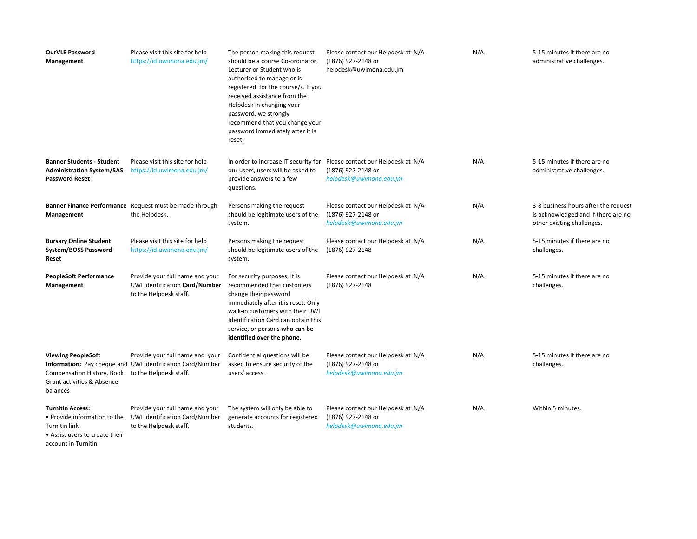| <b>OurVLE Password</b><br>Management                                                                              | Please visit this site for help<br>https://id.uwimona.edu.jm/                                                           | The person making this request<br>should be a course Co-ordinator,<br>Lecturer or Student who is<br>authorized to manage or is<br>registered for the course/s. If you<br>received assistance from the<br>Helpdesk in changing your<br>password, we strongly<br>recommend that you change your<br>password immediately after it is<br>reset. | Please contact our Helpdesk at N/A<br>(1876) 927-2148 or<br>helpdesk@uwimona.edu.jm                                      | N/A | 5-15 minutes if there are no<br>administrative challenges.                                                |
|-------------------------------------------------------------------------------------------------------------------|-------------------------------------------------------------------------------------------------------------------------|---------------------------------------------------------------------------------------------------------------------------------------------------------------------------------------------------------------------------------------------------------------------------------------------------------------------------------------------|--------------------------------------------------------------------------------------------------------------------------|-----|-----------------------------------------------------------------------------------------------------------|
| <b>Banner Students - Student</b><br><b>Administration System/SAS</b><br><b>Password Reset</b>                     | Please visit this site for help<br>https://id.uwimona.edu.jm/                                                           | our users, users will be asked to<br>provide answers to a few<br>questions.                                                                                                                                                                                                                                                                 | In order to increase IT security for Please contact our Helpdesk at N/A<br>(1876) 927-2148 or<br>helpdesk@uwimona.edu.jm | N/A | 5-15 minutes if there are no<br>administrative challenges.                                                |
| Management                                                                                                        | Banner Finance Performance Request must be made through<br>the Helpdesk.                                                | Persons making the request<br>should be legitimate users of the<br>system.                                                                                                                                                                                                                                                                  | Please contact our Helpdesk at N/A<br>(1876) 927-2148 or<br>helpdesk@uwimona.edu.jm                                      | N/A | 3-8 business hours after the request<br>is acknowledged and if there are no<br>other existing challenges. |
| <b>Bursary Online Student</b><br>System/BOSS Password<br>Reset                                                    | Please visit this site for help<br>https://id.uwimona.edu.jm/                                                           | Persons making the request<br>should be legitimate users of the<br>system.                                                                                                                                                                                                                                                                  | Please contact our Helpdesk at N/A<br>(1876) 927-2148                                                                    | N/A | 5-15 minutes if there are no<br>challenges.                                                               |
| <b>PeopleSoft Performance</b><br>Management                                                                       | Provide your full name and your<br>UWI Identification Card/Number<br>to the Helpdesk staff.                             | For security purposes, it is<br>recommended that customers<br>change their password<br>immediately after it is reset. Only<br>walk-in customers with their UWI<br>Identification Card can obtain this<br>service, or persons who can be<br>identified over the phone.                                                                       | Please contact our Helpdesk at N/A<br>(1876) 927-2148                                                                    | N/A | 5-15 minutes if there are no<br>challenges.                                                               |
| <b>Viewing PeopleSoft</b><br>Compensation History, Book<br>Grant activities & Absence<br>balances                 | Provide your full name and your<br>Information: Pay cheque and UWI Identification Card/Number<br>to the Helpdesk staff. | Confidential questions will be<br>asked to ensure security of the<br>users' access.                                                                                                                                                                                                                                                         | Please contact our Helpdesk at N/A<br>(1876) 927-2148 or<br>helpdesk@uwimona.edu.jm                                      | N/A | 5-15 minutes if there are no<br>challenges.                                                               |
| <b>Turnitin Access:</b><br>• Provide information to the<br><b>Turnitin link</b><br>• Assist users to create their | Provide your full name and your<br>UWI Identification Card/Number<br>to the Helpdesk staff.                             | The system will only be able to<br>generate accounts for registered<br>students.                                                                                                                                                                                                                                                            | Please contact our Helpdesk at N/A<br>(1876) 927-2148 or<br>helpdesk@uwimona.edu.jm                                      | N/A | Within 5 minutes.                                                                                         |

account in Turnitin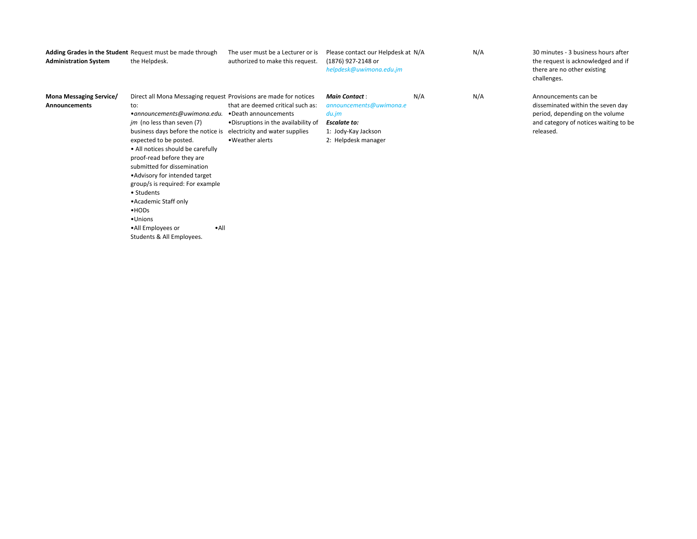| <b>Administration System</b>                           | Adding Grades in the Student Request must be made through<br>the Helpdesk.                                                                                                                                                                                                                                                                                                                                                                                                                                                                                               | The user must be a Lecturer or is<br>authorized to make this request.                         | Please contact our Helpdesk at N/A<br>(1876) 927-2148 or<br>helpdesk@uwimona.edu.jm                                           |     | N/A | 30 minutes - 3 business hours after<br>the request is acknowledged and if<br>there are no other existing<br>challenges.                            |
|--------------------------------------------------------|--------------------------------------------------------------------------------------------------------------------------------------------------------------------------------------------------------------------------------------------------------------------------------------------------------------------------------------------------------------------------------------------------------------------------------------------------------------------------------------------------------------------------------------------------------------------------|-----------------------------------------------------------------------------------------------|-------------------------------------------------------------------------------------------------------------------------------|-----|-----|----------------------------------------------------------------------------------------------------------------------------------------------------|
| <b>Mona Messaging Service/</b><br><b>Announcements</b> | Direct all Mona Messaging request Provisions are made for notices<br>to:<br>• announcements@uwimona.edu. • Death announcements<br><i>im</i> (no less than seven (7)<br>business days before the notice is electricity and water supplies<br>expected to be posted.<br>• All notices should be carefully<br>proof-read before they are<br>submitted for dissemination<br>• Advisory for intended target<br>group/s is required: For example<br>• Students<br>• Academic Staff only<br>$-HODs$<br>•Unions<br>$\cdot$ All<br>•All Employees or<br>Students & All Employees. | that are deemed critical such as:<br>. Disruptions in the availability of<br>• Weather alerts | <b>Main Contact:</b><br>announcements@uwimona.e<br>du.jm<br><b>Escalate to:</b><br>1: Jody-Kay Jackson<br>2: Helpdesk manager | N/A | N/A | Announcements can be<br>disseminated within the seven day<br>period, depending on the volume<br>and category of notices waiting to be<br>released. |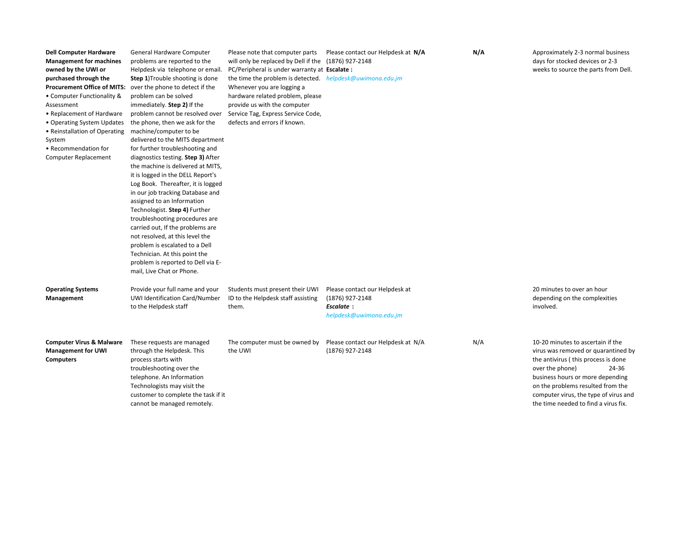| <b>Dell Computer Hardware</b><br><b>Management for machines</b><br>owned by the UWI or<br>purchased through the<br><b>Procurement Office of MITS:</b><br>• Computer Functionality &<br>Assessment<br>• Replacement of Hardware<br>• Operating System Updates<br>• Reinstallation of Operating<br>System<br>• Recommendation for<br>Computer Replacement | General Hardware Computer<br>problems are reported to the<br>Helpdesk via telephone or email.<br><b>Step 1)</b> Trouble shooting is done<br>over the phone to detect if the<br>problem can be solved<br>immediately. Step 2) If the<br>problem cannot be resolved over<br>the phone, then we ask for the<br>machine/computer to be<br>delivered to the MITS department<br>for further troubleshooting and<br>diagnostics testing. Step 3) After<br>the machine is delivered at MITS,<br>it is logged in the DELL Report's<br>Log Book. Thereafter, it is logged<br>in our job tracking Database and<br>assigned to an Information<br>Technologist. Step 4) Further<br>troubleshooting procedures are<br>carried out, If the problems are<br>not resolved, at this level the<br>problem is escalated to a Dell<br>Technician. At this point the | will only be replaced by Dell if the (1876) 927-2148<br>PC/Peripheral is under warranty at Escalate:<br>the time the problem is detected. helpdesk@uwimona.edu.jm<br>Whenever you are logging a<br>hardware related problem, please<br>provide us with the computer<br>Service Tag, Express Service Code,<br>defects and errors if known. | Please note that computer parts Please contact our Helpdesk at N/A                               | N/A | Approximately 2-3 normal business<br>days for stocked devices or 2-3<br>weeks to source the parts from Dell.                                                                                                                                                                                          |
|---------------------------------------------------------------------------------------------------------------------------------------------------------------------------------------------------------------------------------------------------------------------------------------------------------------------------------------------------------|------------------------------------------------------------------------------------------------------------------------------------------------------------------------------------------------------------------------------------------------------------------------------------------------------------------------------------------------------------------------------------------------------------------------------------------------------------------------------------------------------------------------------------------------------------------------------------------------------------------------------------------------------------------------------------------------------------------------------------------------------------------------------------------------------------------------------------------------|-------------------------------------------------------------------------------------------------------------------------------------------------------------------------------------------------------------------------------------------------------------------------------------------------------------------------------------------|--------------------------------------------------------------------------------------------------|-----|-------------------------------------------------------------------------------------------------------------------------------------------------------------------------------------------------------------------------------------------------------------------------------------------------------|
| <b>Operating Systems</b><br>Management                                                                                                                                                                                                                                                                                                                  | problem is reported to Dell via E-<br>mail, Live Chat or Phone.<br>Provide your full name and your<br>UWI Identification Card/Number<br>to the Helpdesk staff                                                                                                                                                                                                                                                                                                                                                                                                                                                                                                                                                                                                                                                                                  | Students must present their UWI<br>ID to the Helpdesk staff assisting<br>them.                                                                                                                                                                                                                                                            | Please contact our Helpdesk at<br>(1876) 927-2148<br><b>Escalate:</b><br>helpdesk@uwimona.edu.jm |     | 20 minutes to over an hour<br>depending on the complexities<br>involved.                                                                                                                                                                                                                              |
| <b>Computer Virus &amp; Malware</b><br><b>Management for UWI</b><br><b>Computers</b>                                                                                                                                                                                                                                                                    | These requests are managed<br>through the Helpdesk. This<br>process starts with<br>troubleshooting over the<br>telephone. An Information<br>Technologists may visit the<br>customer to complete the task if it<br>cannot be managed remotely.                                                                                                                                                                                                                                                                                                                                                                                                                                                                                                                                                                                                  | The computer must be owned by<br>the UWI                                                                                                                                                                                                                                                                                                  | Please contact our Helpdesk at N/A<br>(1876) 927-2148                                            | N/A | 10-20 minutes to ascertain if the<br>virus was removed or quarantined by<br>the antivirus (this process is done<br>over the phone)<br>24-36<br>business hours or more depending<br>on the problems resulted from the<br>computer virus, the type of virus and<br>the time needed to find a virus fix. |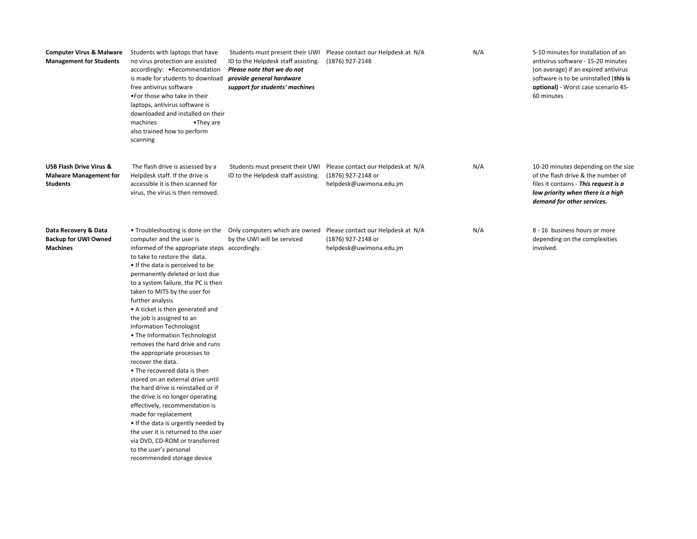| <b>Computer Virus &amp; Malware</b><br><b>Management for Students</b>           | Students with laptops that have<br>no virus protection are assisted<br>accordingly: • Recommendation<br>is made for students to download<br>free antivirus software<br>. For those who take in their<br>laptops, antivirus software is<br>downloaded and installed on their<br>machines<br>•They are<br>also trained how to perform<br>scanning                                                                                                                                                                                                                                                                                                                                                                                                                                                                                                                                        | ID to the Helpdesk staff assisting.<br>Please note that we do not<br>provide general hardware<br>support for students' machines | Students must present their UWI Please contact our Helpdesk at N/A<br>(1876) 927-2148 | N/A | 5-10 minutes for installation of an<br>antivirus software - 15-20 minutes<br>(on average) if an expired antivirus<br>software is to be uninstalled (this is<br>optional) - Worst case scenario 45-<br>60 minutes |
|---------------------------------------------------------------------------------|----------------------------------------------------------------------------------------------------------------------------------------------------------------------------------------------------------------------------------------------------------------------------------------------------------------------------------------------------------------------------------------------------------------------------------------------------------------------------------------------------------------------------------------------------------------------------------------------------------------------------------------------------------------------------------------------------------------------------------------------------------------------------------------------------------------------------------------------------------------------------------------|---------------------------------------------------------------------------------------------------------------------------------|---------------------------------------------------------------------------------------|-----|------------------------------------------------------------------------------------------------------------------------------------------------------------------------------------------------------------------|
| <b>USB Flash Drive Virus &amp;</b><br><b>Malware Management for</b><br>Students | The flash drive is assessed by a<br>Helpdesk staff. If the drive is<br>accessible it is then scanned for<br>virus, the virus is then removed.                                                                                                                                                                                                                                                                                                                                                                                                                                                                                                                                                                                                                                                                                                                                          | Students must present their UWI<br>ID to the Helpdesk staff assisting.                                                          | Please contact our Helpdesk at N/A<br>(1876) 927-2148 or<br>helpdesk@uwimona.edu.jm   | N/A | 10-20 minutes depending on the size<br>of the flash drive & the number of<br>files it contains - This request is a<br>low priority when there is a high<br>demand for other services.                            |
| Data Recovery & Data<br><b>Backup for UWI Owned</b><br><b>Machines</b>          | computer and the user is<br>informed of the appropriate steps accordingly.<br>to take to restore the data.<br>. If the data is perceived to be<br>permanently deleted or lost due<br>to a system failure, the PC is then<br>taken to MITS by the user for<br>further analysis<br>• A ticket is then generated and<br>the job is assigned to an<br>Information Technologist<br>• The Information Technologist<br>removes the hard drive and runs<br>the appropriate processes to<br>recover the data.<br>• The recovered data is then<br>stored on an external drive until<br>the hard drive is reinstalled or if<br>the drive is no longer operating<br>effectively, recommendation is<br>made for replacement<br>• If the data is urgently needed by<br>the user it is returned to the user<br>via DVD, CD-ROM or transferred<br>to the user's personal<br>recommended storage device | • Troubleshooting is done on the Only computers which are owned<br>by the UWI will be serviced                                  | Please contact our Helpdesk at N/A<br>(1876) 927-2148 or<br>helpdesk@uwimona.edu.jm   | N/A | 8 - 16 business hours or more<br>depending on the complexities<br>involved.                                                                                                                                      |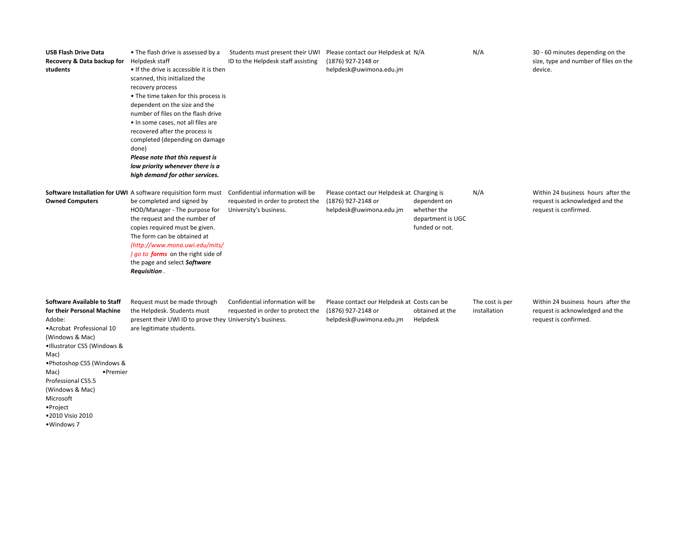| <b>USB Flash Drive Data</b><br>Recovery & Data backup for<br>students                                                                                                                                                                                                                                                   | • The flash drive is assessed by a<br>Helpdesk staff<br>• If the drive is accessible it is then<br>scanned, this initialized the<br>recovery process<br>• The time taken for this process is<br>dependent on the size and the<br>number of files on the flash drive<br>. In some cases, not all files are<br>recovered after the process is<br>completed (depending on damage<br>done)<br>Please note that this request is<br>low priority whenever there is a<br>high demand for other services. | Students must present their UWI<br>ID to the Helpdesk staff assisting | Please contact our Helpdesk at N/A<br>(1876) 927-2148 or<br>helpdesk@uwimona.edu.jm          |                                                                    | N/A                             | 30 - 60 minutes depending on the<br>size, type and number of files on the<br>device.           |
|-------------------------------------------------------------------------------------------------------------------------------------------------------------------------------------------------------------------------------------------------------------------------------------------------------------------------|---------------------------------------------------------------------------------------------------------------------------------------------------------------------------------------------------------------------------------------------------------------------------------------------------------------------------------------------------------------------------------------------------------------------------------------------------------------------------------------------------|-----------------------------------------------------------------------|----------------------------------------------------------------------------------------------|--------------------------------------------------------------------|---------------------------------|------------------------------------------------------------------------------------------------|
| <b>Owned Computers</b>                                                                                                                                                                                                                                                                                                  | Software Installation for UWI A software requisition form must Confidential information will be<br>be completed and signed by<br>HOD/Manager - The purpose for<br>the request and the number of<br>copies required must be given.<br>The form can be obtained at<br>(http://www.mona.uwi.edu/mits/<br>) go to forms on the right side of<br>the page and select Software<br>Requisition.                                                                                                          | requested in order to protect the<br>University's business.           | Please contact our Helpdesk at Charging is<br>(1876) 927-2148 or<br>helpdesk@uwimona.edu.jm  | dependent on<br>whether the<br>department is UGC<br>funded or not. | N/A                             | Within 24 business hours after the<br>request is acknowledged and the<br>request is confirmed. |
| <b>Software Available to Staff</b><br>for their Personal Machine<br>Adobe:<br>• Acrobat Professional 10<br>(Windows & Mac)<br>.Illustrator CS5 (Windows &<br>Mac)<br>• Photoshop CS5 (Windows &<br>•Premier<br>Mac)<br>Professional CS5.5<br>(Windows & Mac)<br>Microsoft<br>•Project<br>·2010 Visio 2010<br>•Windows 7 | Request must be made through<br>the Helpdesk. Students must<br>present their UWI ID to prove they University's business.<br>are legitimate students.                                                                                                                                                                                                                                                                                                                                              | Confidential information will be<br>requested in order to protect the | Please contact our Helpdesk at Costs can be<br>(1876) 927-2148 or<br>helpdesk@uwimona.edu.jm | obtained at the<br>Helpdesk                                        | The cost is per<br>installation | Within 24 business hours after the<br>request is acknowledged and the<br>request is confirmed. |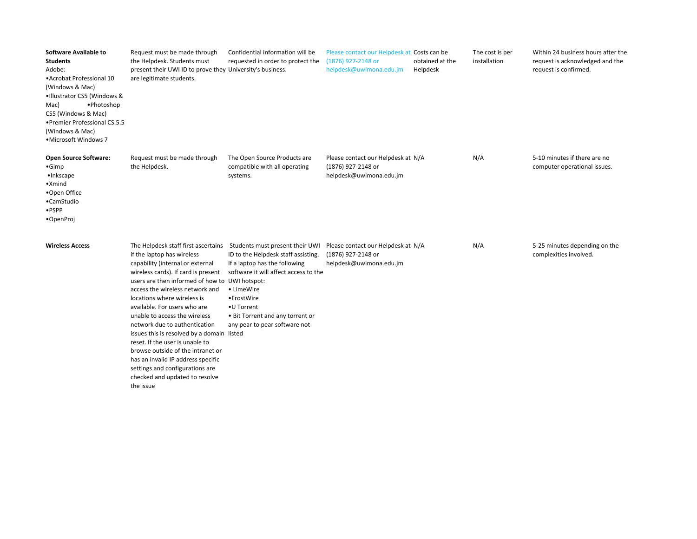| <b>Software Available to</b><br><b>Students</b><br>Adobe:<br>• Acrobat Professional 10<br>(Windows & Mac)<br>.Illustrator CS5 (Windows &<br>Mac)<br>•Photoshop<br>CS5 (Windows & Mac)<br>• Premier Professional CS.5.5<br>(Windows & Mac)<br>•Microsoft Windows 7 | Request must be made through<br>the Helpdesk. Students must<br>present their UWI ID to prove they University's business.<br>are legitimate students.                                                                                                                                                                                                                                                                                                                                                                                                                                                             | Confidential information will be<br>requested in order to protect the                                                                                                                                                                                            | Please contact our Helpdesk at Costs can be<br>(1876) 927-2148 or<br>helpdesk@uwimona.edu.jm | obtained at the<br>Helpdesk | The cost is per<br>installation | Within 24 business hours after the<br>request is acknowledged and the<br>request is confirmed. |
|-------------------------------------------------------------------------------------------------------------------------------------------------------------------------------------------------------------------------------------------------------------------|------------------------------------------------------------------------------------------------------------------------------------------------------------------------------------------------------------------------------------------------------------------------------------------------------------------------------------------------------------------------------------------------------------------------------------------------------------------------------------------------------------------------------------------------------------------------------------------------------------------|------------------------------------------------------------------------------------------------------------------------------------------------------------------------------------------------------------------------------------------------------------------|----------------------------------------------------------------------------------------------|-----------------------------|---------------------------------|------------------------------------------------------------------------------------------------|
| <b>Open Source Software:</b><br>$\bullet$ Gimp<br>·Inkscape<br>$\bullet$ Xmind<br>•Open Office<br>•CamStudio<br>$\bullet$ PSPP<br>•OpenProj                                                                                                                       | Request must be made through<br>the Helpdesk.                                                                                                                                                                                                                                                                                                                                                                                                                                                                                                                                                                    | The Open Source Products are<br>compatible with all operating<br>systems.                                                                                                                                                                                        | Please contact our Helpdesk at N/A<br>(1876) 927-2148 or<br>helpdesk@uwimona.edu.jm          |                             | N/A                             | 5-10 minutes if there are no<br>computer operational issues.                                   |
| <b>Wireless Access</b>                                                                                                                                                                                                                                            | The Helpdesk staff first ascertains<br>if the laptop has wireless<br>capability (internal or external<br>wireless cards). If card is present<br>users are then informed of how to UWI hotspot:<br>access the wireless network and<br>locations where wireless is<br>available. For users who are<br>unable to access the wireless<br>network due to authentication<br>issues this is resolved by a domain listed<br>reset. If the user is unable to<br>browse outside of the intranet or<br>has an invalid IP address specific<br>settings and configurations are<br>checked and updated to resolve<br>the issue | Students must present their UWI<br>ID to the Helpdesk staff assisting.<br>If a laptop has the following<br>software it will affect access to the<br>• LimeWire<br>•FrostWire<br>• U Torrent<br>• Bit Torrent and any torrent or<br>any pear to pear software not | Please contact our Helpdesk at N/A<br>(1876) 927-2148 or<br>helpdesk@uwimona.edu.jm          |                             | N/A                             | 5-25 minutes depending on the<br>complexities involved.                                        |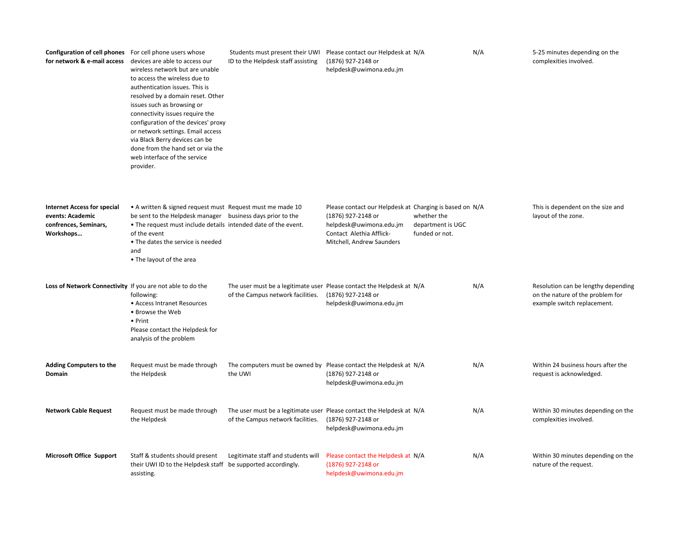| <b>Configuration of cell phones</b> For cell phone users whose                               | for network & e-mail access devices are able to access our<br>wireless network but are unable<br>to access the wireless due to<br>authentication issues. This is<br>resolved by a domain reset. Other<br>issues such as browsing or<br>connectivity issues require the<br>configuration of the devices' proxy<br>or network settings. Email access<br>via Black Berry devices can be<br>done from the hand set or via the<br>web interface of the service<br>provider. | ID to the Helpdesk staff assisting | Students must present their UWI Please contact our Helpdesk at N/A<br>(1876) 927-2148 or<br>helpdesk@uwimona.edu.jm                                                                                                     | N/A | 5-25 minutes depending on the<br>complexities involved.                                                |
|----------------------------------------------------------------------------------------------|------------------------------------------------------------------------------------------------------------------------------------------------------------------------------------------------------------------------------------------------------------------------------------------------------------------------------------------------------------------------------------------------------------------------------------------------------------------------|------------------------------------|-------------------------------------------------------------------------------------------------------------------------------------------------------------------------------------------------------------------------|-----|--------------------------------------------------------------------------------------------------------|
| <b>Internet Access for special</b><br>events: Academic<br>confrences, Seminars,<br>Workshops | • A written & signed request must Request must me made 10<br>be sent to the Helpdesk manager business days prior to the<br>. The request must include details intended date of the event.<br>of the event<br>• The dates the service is needed<br>and<br>• The layout of the area                                                                                                                                                                                      |                                    | Please contact our Helpdesk at Charging is based on N/A<br>(1876) 927-2148 or<br>whether the<br>helpdesk@uwimona.edu.jm<br>department is UGC<br>Contact Alethia Afflick-<br>funded or not.<br>Mitchell, Andrew Saunders |     | This is dependent on the size and<br>layout of the zone.                                               |
| Loss of Network Connectivity If you are not able to do the                                   | following:<br>• Access Intranet Resources<br>• Browse the Web<br>• Print<br>Please contact the Helpdesk for<br>analysis of the problem                                                                                                                                                                                                                                                                                                                                 | of the Campus network facilities.  | The user must be a legitimate user Please contact the Helpdesk at N/A<br>(1876) 927-2148 or<br>helpdesk@uwimona.edu.jm                                                                                                  | N/A | Resolution can be lengthy depending<br>on the nature of the problem for<br>example switch replacement. |
| <b>Adding Computers to the</b><br>Domain                                                     | Request must be made through<br>the Helpdesk                                                                                                                                                                                                                                                                                                                                                                                                                           | the UWI                            | The computers must be owned by Please contact the Helpdesk at N/A<br>(1876) 927-2148 or<br>helpdesk@uwimona.edu.jm                                                                                                      | N/A | Within 24 business hours after the<br>request is acknowledged.                                         |
| <b>Network Cable Request</b>                                                                 | Request must be made through<br>the Helpdesk                                                                                                                                                                                                                                                                                                                                                                                                                           | of the Campus network facilities.  | The user must be a legitimate user Please contact the Helpdesk at N/A<br>(1876) 927-2148 or<br>helpdesk@uwimona.edu.jm                                                                                                  | N/A | Within 30 minutes depending on the<br>complexities involved.                                           |
| <b>Microsoft Office Support</b>                                                              | Staff & students should present<br>their UWI ID to the Helpdesk staff be supported accordingly.<br>assisting.                                                                                                                                                                                                                                                                                                                                                          | Legitimate staff and students will | Please contact the Helpdesk at N/A<br>(1876) 927-2148 or<br>helpdesk@uwimona.edu.jm                                                                                                                                     | N/A | Within 30 minutes depending on the<br>nature of the request.                                           |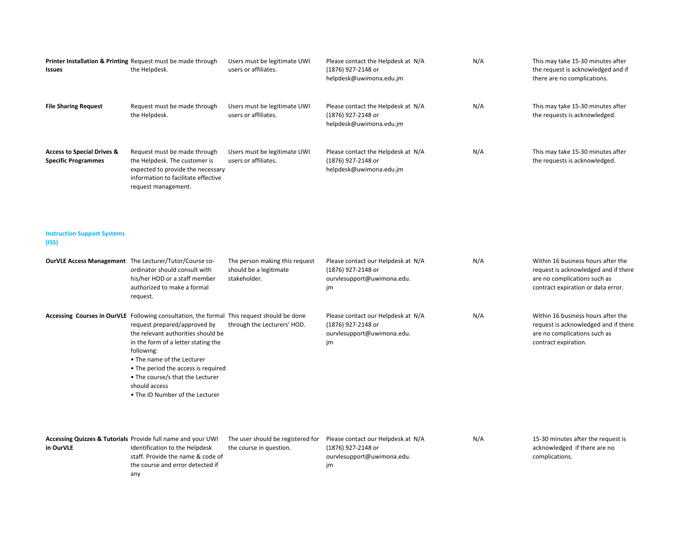| <b>Issues</b>                                                       | Printer Installation & Printing Request must be made through<br>the Helpdesk.                                                                                                                                                                                                                                                                                                      | Users must be legitimate UWI<br>users or affiliates.                     | Please contact the Helpdesk at N/A<br>(1876) 927-2148 or<br>helpdesk@uwimona.edu.jm          | N/A | This may take 15-30 minutes after<br>the request is acknowledged and if<br>there are no complications.                                           |
|---------------------------------------------------------------------|------------------------------------------------------------------------------------------------------------------------------------------------------------------------------------------------------------------------------------------------------------------------------------------------------------------------------------------------------------------------------------|--------------------------------------------------------------------------|----------------------------------------------------------------------------------------------|-----|--------------------------------------------------------------------------------------------------------------------------------------------------|
| <b>File Sharing Request</b>                                         | Request must be made through<br>the Helpdesk.                                                                                                                                                                                                                                                                                                                                      | Users must be legitimate UWI<br>users or affiliates.                     | Please contact the Helpdesk at N/A<br>(1876) 927-2148 or<br>helpdesk@uwimona.edu.jm          | N/A | This may take 15-30 minutes after<br>the requests is acknowledged.                                                                               |
| <b>Access to Special Drives &amp;</b><br><b>Specific Programmes</b> | Request must be made through<br>the Helpdesk. The customer is<br>expected to provide the necessary<br>information to facilitate effective<br>request management.                                                                                                                                                                                                                   | Users must be legitimate UWI<br>users or affiliates.                     | Please contact the Helpdesk at N/A<br>(1876) 927-2148 or<br>helpdesk@uwimona.edu.jm          | N/A | This may take 15-30 minutes after<br>the requests is acknowledged.                                                                               |
| <b>Instruction Support Systems</b><br>(ISS)                         |                                                                                                                                                                                                                                                                                                                                                                                    |                                                                          |                                                                                              |     |                                                                                                                                                  |
|                                                                     | OurVLE Access Management The Lecturer/Tutor/Course co-<br>ordinator should consult with<br>his/her HOD or a staff member<br>authorized to make a formal<br>request.                                                                                                                                                                                                                | The person making this request<br>should be a legitimate<br>stakeholder. | Please contact our Helpdesk at N/A<br>(1876) 927-2148 or<br>ourvlesupport@uwimona.edu.<br>jm | N/A | Within 16 business hours after the<br>request is acknowledged and if there<br>are no complications such as<br>contract expiration or data error. |
|                                                                     | Accessing Courses in OurVLE Following consultation, the formal This request should be done<br>request prepared/approved by<br>the relevant authorities should be<br>in the form of a letter stating the<br>following:<br>• The name of the Lecturer<br>• The period the access is required<br>• The course/s that the Lecturer<br>should access<br>. The ID Number of the Lecturer | through the Lecturers' HOD.                                              | Please contact our Helpdesk at N/A<br>(1876) 927-2148 or<br>ourvlesupport@uwimona.edu.<br>jm | N/A | Within 16 business hours after the<br>request is acknowledged and if there<br>are no complications such as<br>contract expiration.               |
| in OurVLE                                                           | Accessing Quizzes & Tutorials Provide full name and your UWI<br>Identification to the Helpdesk<br>staff. Provide the name & code of<br>the course and error detected if<br>any                                                                                                                                                                                                     | The user should be registered for<br>the course in question.             | Please contact our Helpdesk at N/A<br>(1876) 927-2148 or<br>ourvlesupport@uwimona.edu.<br>jm | N/A | 15-30 minutes after the request is<br>acknowledged if there are no<br>complications.                                                             |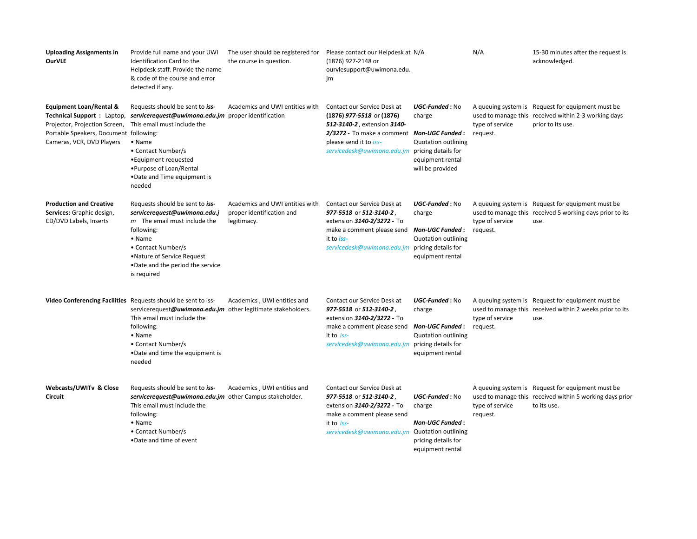| <b>Uploading Assignments in</b><br><b>OurVLE</b>                                                                                                                                | Provide full name and your UWI<br>Identification Card to the<br>Helpdesk staff. Provide the name<br>& code of the course and error<br>detected if any.                                                                                                      | The user should be registered for<br>the course in question.                | Please contact our Helpdesk at N/A<br>(1876) 927-2148 or<br>ourvlesupport@uwimona.edu.<br>jm                                                                                                                         |                                                                                                       | N/A                         | 15-30 minutes after the request is<br>acknowledged.                                                                            |
|---------------------------------------------------------------------------------------------------------------------------------------------------------------------------------|-------------------------------------------------------------------------------------------------------------------------------------------------------------------------------------------------------------------------------------------------------------|-----------------------------------------------------------------------------|----------------------------------------------------------------------------------------------------------------------------------------------------------------------------------------------------------------------|-------------------------------------------------------------------------------------------------------|-----------------------------|--------------------------------------------------------------------------------------------------------------------------------|
| <b>Equipment Loan/Rental &amp;</b><br><b>Technical Support: Laptop,</b><br>Projector, Projection Screen,<br>Portable Speakers, Document following:<br>Cameras, VCR, DVD Players | Requests should be sent to iss-<br>servicerequest@uwimona.edu.jm proper identification<br>This email must include the<br>$\bullet$ Name<br>• Contact Number/s<br>• Equipment requested<br>•Purpose of Loan/Rental<br>. Date and Time equipment is<br>needed | Academics and UWI entities with                                             | Contact our Service Desk at<br>(1876) 977-5518 or (1876)<br>512-3140-2, extension 3140-<br>2/3272 - To make a comment   Non-UGC Funded :<br>please send it to iss-<br>servicedesk@uwimona.edu.jm pricing details for | UGC-Funded: No<br>charge<br><b>Quotation outlining</b><br>equipment rental<br>will be provided        | type of service<br>request. | A queuing system is Request for equipment must be<br>used to manage this received within 2-3 working days<br>prior to its use. |
| <b>Production and Creative</b><br>Services: Graphic design,<br>CD/DVD Labels, Inserts                                                                                           | Requests should be sent to iss-<br>servicerequest@uwimona.edu.j<br>$m$ The email must include the<br>following:<br>• Name<br>• Contact Number/s<br>• Nature of Service Request<br>. Date and the period the service<br>is required                          | Academics and UWI entities with<br>proper identification and<br>legitimacy. | Contact our Service Desk at<br>977-5518 or 512-3140-2,<br>extension 3140-2/3272 - To<br>make a comment please send<br>it to iss-<br>servicedesk@uwimona.edu.jm pricing details for                                   | UGC-Funded: No<br>charge<br>Non-UGC Funded :<br><b>Quotation outlining</b><br>equipment rental        | type of service<br>request. | A queuing system is Request for equipment must be<br>used to manage this received 5 working days prior to its<br>use.          |
|                                                                                                                                                                                 | Video Conferencing Facilities Requests should be sent to iss-<br>servicerequest@uwimona.edu.jm other legitimate stakeholders.<br>This email must include the<br>following:<br>• Name<br>• Contact Number/s<br>.Date and time the equipment is<br>needed     | Academics, UWI entities and                                                 | Contact our Service Desk at<br>977-5518 or 512-3140-2,<br>extension 3140-2/3272 - To<br>make a comment please send<br>it to iss-<br>servicedesk@uwimona.edu.jm pricing details for                                   | UGC-Funded: No<br>charge<br><b>Non-UGC Funded :</b><br><b>Quotation outlining</b><br>equipment rental | type of service<br>request. | A queuing system is Request for equipment must be<br>used to manage this received within 2 weeks prior to its<br>use.          |
| Webcasts/UWITv & Close<br>Circuit                                                                                                                                               | Requests should be sent to iss-<br>servicerequest@uwimona.edu.jm other Campus stakeholder.<br>This email must include the<br>following:<br>$\bullet$ Name<br>• Contact Number/s<br>. Date and time of event                                                 | Academics, UWI entities and                                                 | Contact our Service Desk at<br>977-5518 or 512-3140-2<br>extension 3140-2/3272 - To<br>make a comment please send<br>it to iss-<br>servicedesk@uwimona.edu.jm Quotation outlining                                    | UGC-Funded: No<br>charge<br>Non-UGC Funded:<br>pricing details for<br>equipment rental                | type of service<br>request. | A queuing system is Request for equipment must be<br>used to manage this received within 5 working days prior<br>to its use.   |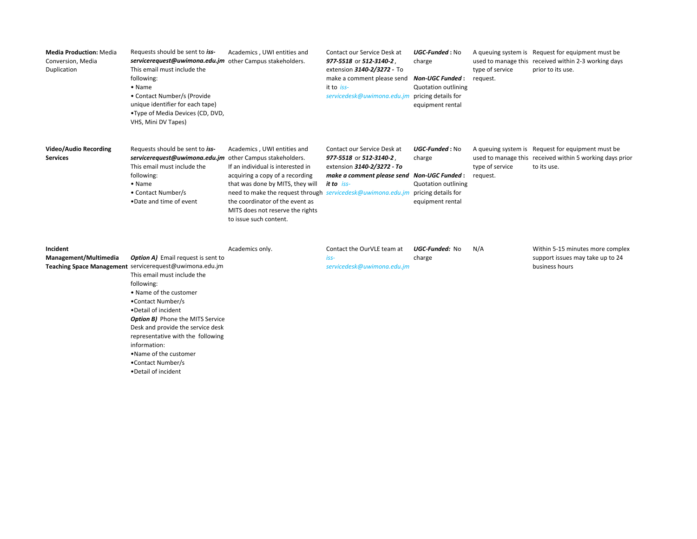| <b>Media Production: Media</b><br>Conversion, Media<br>Duplication | Requests should be sent to iss-<br>servicerequest@uwimona.edu.jm other Campus stakeholders.<br>This email must include the<br>following:<br>• Name<br>• Contact Number/s (Provide<br>unique identifier for each tape)<br>•Type of Media Devices (CD, DVD,<br>VHS, Mini DV Tapes)                                                                                                                                                     | Academics, UWI entities and                                                                                                                                                                                                                                                                             | Contact our Service Desk at<br>977-5518 or 512-3140-2,<br>extension 3140-2/3272 - To<br>make a comment please send<br>it to iss-<br>servicedesk@uwimona.edu.jm | UGC-Funded: No<br>charge<br><b>Non-UGC Funded:</b><br><b>Quotation outlining</b><br>pricing details for<br>equipment rental | type of service<br>request. | A queuing system is Request for equipment must be<br>used to manage this received within 2-3 working days<br>prior to its use. |
|--------------------------------------------------------------------|--------------------------------------------------------------------------------------------------------------------------------------------------------------------------------------------------------------------------------------------------------------------------------------------------------------------------------------------------------------------------------------------------------------------------------------|---------------------------------------------------------------------------------------------------------------------------------------------------------------------------------------------------------------------------------------------------------------------------------------------------------|----------------------------------------------------------------------------------------------------------------------------------------------------------------|-----------------------------------------------------------------------------------------------------------------------------|-----------------------------|--------------------------------------------------------------------------------------------------------------------------------|
| <b>Video/Audio Recording</b><br><b>Services</b>                    | Requests should be sent to iss-<br>servicerequest@uwimona.edu.jm other Campus stakeholders.<br>This email must include the<br>following:<br>$\bullet$ Name<br>• Contact Number/s<br>. Date and time of event                                                                                                                                                                                                                         | Academics, UWI entities and<br>If an individual is interested in<br>acquiring a copy of a recording<br>that was done by MITS, they will<br>need to make the request through servicedesk@uwimona.edu.jm<br>the coordinator of the event as<br>MITS does not reserve the rights<br>to issue such content. | Contact our Service Desk at<br>977-5518 or 512-3140-2,<br>extension 3140-2/3272 - To<br>make a comment please send Non-UGC Funded:<br>it to iss-               | UGC-Funded: No<br>charge<br><b>Quotation outlining</b><br>pricing details for<br>equipment rental                           | type of service<br>request. | A queuing system is Request for equipment must be<br>used to manage this received within 5 working days prior<br>to its use.   |
| Incident<br>Management/Multimedia                                  | <b>Option A)</b> Email request is sent to<br>Teaching Space Management servicerequest@uwimona.edu.jm<br>This email must include the<br>following:<br>• Name of the customer<br>•Contact Number/s<br>. Detail of incident<br><b>Option B)</b> Phone the MITS Service<br>Desk and provide the service desk<br>representative with the following<br>information:<br>. Name of the customer<br>•Contact Number/s<br>• Detail of incident | Academics only.                                                                                                                                                                                                                                                                                         | Contact the OurVLE team at<br>iss-<br>servicedesk@uwimona.edu.jm                                                                                               | UGC-Funded: No<br>charge                                                                                                    | N/A                         | Within 5-15 minutes more complex<br>support issues may take up to 24<br>business hours                                         |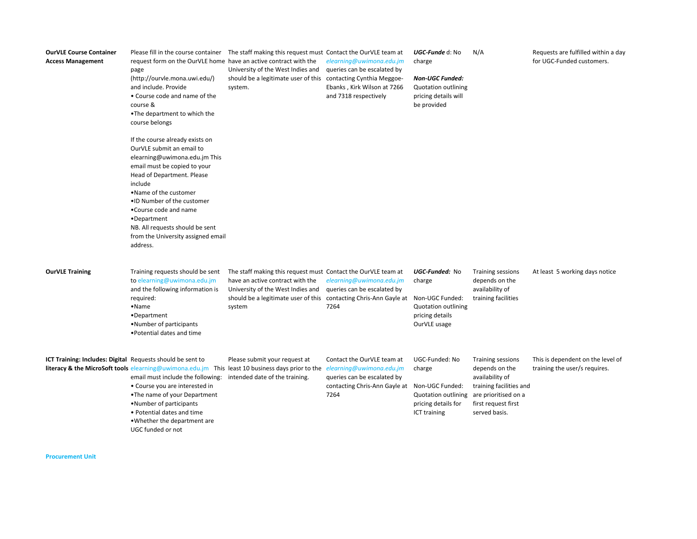| <b>OurVLE Course Container</b><br><b>Access Management</b> | request form on the OurVLE home have an active contract with the<br>page<br>(http://ourvle.mona.uwi.edu/)<br>and include. Provide<br>• Course code and name of the<br>course &<br>. The department to which the<br>course belongs                                                                                                                          | Please fill in the course container The staff making this request must Contact the OurVLE team at<br>University of the West Indies and<br>should be a legitimate user of this contacting Cynthia Meggoe-<br>system.                   | elearning@uwimona.edu.jm<br>queries can be escalated by<br>Ebanks, Kirk Wilson at 7266<br>and 7318 respectively                                | UGC-Funde d: No<br>charge<br><b>Non-UGC Funded:</b><br><b>Quotation outlining</b><br>pricing details will<br>be provided | N/A                                                                                                                                                      | Requests are fulfilled within a day<br>for UGC-Funded customers.   |
|------------------------------------------------------------|------------------------------------------------------------------------------------------------------------------------------------------------------------------------------------------------------------------------------------------------------------------------------------------------------------------------------------------------------------|---------------------------------------------------------------------------------------------------------------------------------------------------------------------------------------------------------------------------------------|------------------------------------------------------------------------------------------------------------------------------------------------|--------------------------------------------------------------------------------------------------------------------------|----------------------------------------------------------------------------------------------------------------------------------------------------------|--------------------------------------------------------------------|
|                                                            | If the course already exists on<br>OurVLE submit an email to<br>elearning@uwimona.edu.jm This<br>email must be copied to your<br>Head of Department. Please<br>include<br>•Name of the customer<br>.ID Number of the customer<br>•Course code and name<br>•Department<br>NB. All requests should be sent<br>from the University assigned email<br>address. |                                                                                                                                                                                                                                       |                                                                                                                                                |                                                                                                                          |                                                                                                                                                          |                                                                    |
| <b>OurVLE Training</b>                                     | Training requests should be sent<br>to elearning@uwimona.edu.jm<br>and the following information is<br>required:<br>$\bullet$ Name<br>•Department<br>•Number of participants<br>. Potential dates and time                                                                                                                                                 | The staff making this request must Contact the OurVLE team at<br>have an active contract with the<br>University of the West Indies and<br>should be a legitimate user of this contacting Chris-Ann Gayle at Non-UGC Funded:<br>system | elearning@uwimona.edu.jm<br>queries can be escalated by<br>7264                                                                                | UGC-Funded: No<br>charge<br><b>Quotation outlining</b><br>pricing details<br>OurVLE usage                                | <b>Training sessions</b><br>depends on the<br>availability of<br>training facilities                                                                     | At least 5 working days notice                                     |
| ICT Training: Includes: Digital Requests should be sent to | literacy & the MicroSoft tools elearning@uwimona.edu.jm This least 10 business days prior to the<br>email must include the following:<br>• Course you are interested in<br>•The name of your Department<br>• Number of participants<br>• Potential dates and time<br>. Whether the department are<br>UGC funded or not                                     | Please submit your request at<br>intended date of the training.                                                                                                                                                                       | Contact the OurVLE team at<br>elearning@uwimona.edu.jm<br>queries can be escalated by<br>contacting Chris-Ann Gayle at Non-UGC Funded:<br>7264 | UGC-Funded: No<br>charge<br><b>Quotation outlining</b><br>pricing details for<br>ICT training                            | <b>Training sessions</b><br>depends on the<br>availability of<br>training facilities and<br>are prioritised on a<br>first request first<br>served basis. | This is dependent on the level of<br>training the user/s requires. |

**Procurement Unit**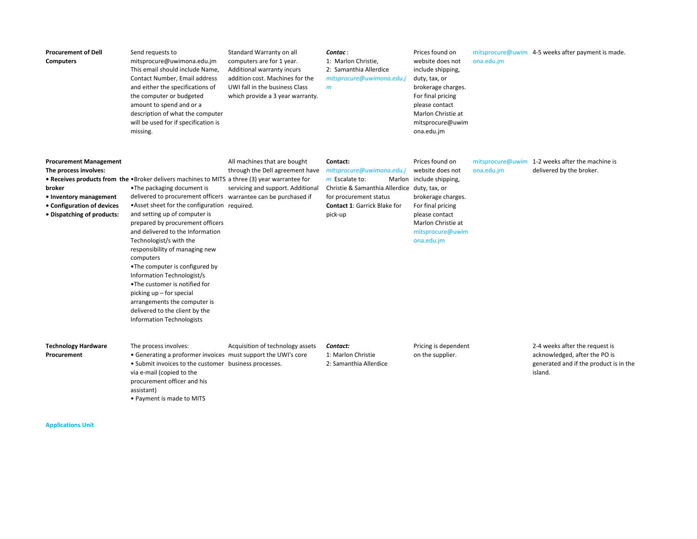| <b>Procurement of Dell</b><br><b>Computers</b>                                                                                                         | Send requests to<br>mitsprocure@uwimona.edu.jm<br>This email should include Name,<br>Contact Number, Email address<br>and either the specifications of<br>the computer or budgeted<br>amount to spend and or a<br>description of what the computer<br>will be used for if specification is<br>missing.                                                                                                                                                                                                                                                                                                                                                                  | Standard Warranty on all<br>computers are for 1 year.<br>Additional warranty incurs<br>addition cost. Machines for the<br>UWI fall in the business Class<br>which provide a 3 year warranty. | Contac:<br>1: Marlon Christie,<br>2: Samanthia Allerdice<br>mitsprocure@uwimona.edu.j<br>m                                                                                            | Prices found on<br>website does not<br>include shipping,<br>duty, tax, or<br>brokerage charges.<br>For final pricing<br>please contact<br>Marlon Christie at<br>mitsprocure@uwim<br>ona.edu.jm | ona.edu.jm | mitsprocure@uwim 4-5 weeks after payment is made.                                                                    |
|--------------------------------------------------------------------------------------------------------------------------------------------------------|-------------------------------------------------------------------------------------------------------------------------------------------------------------------------------------------------------------------------------------------------------------------------------------------------------------------------------------------------------------------------------------------------------------------------------------------------------------------------------------------------------------------------------------------------------------------------------------------------------------------------------------------------------------------------|----------------------------------------------------------------------------------------------------------------------------------------------------------------------------------------------|---------------------------------------------------------------------------------------------------------------------------------------------------------------------------------------|------------------------------------------------------------------------------------------------------------------------------------------------------------------------------------------------|------------|----------------------------------------------------------------------------------------------------------------------|
| <b>Procurement Management</b><br>The process involves:<br>broker<br>• Inventory management<br>• Configuration of devices<br>• Dispatching of products: | • Receives products from the • Broker delivers machines to MITS a three (3) year warrantee for<br>•The packaging document is<br>delivered to procurement officers warrantee can be purchased if<br>. Asset sheet for the configuration required.<br>and setting up of computer is<br>prepared by procurement officers<br>and delivered to the Information<br>Technologist/s with the<br>responsibility of managing new<br>computers<br>•The computer is configured by<br>Information Technologist/s<br>. The customer is notified for<br>picking up - for special<br>arrangements the computer is<br>delivered to the client by the<br><b>Information Technologists</b> | All machines that are bought<br>through the Dell agreement have<br>servicing and support. Additional                                                                                         | Contact:<br>mitsprocure@uwimona.edu.j<br>$m$ Escalate to:<br>Christie & Samanthia Allerdice duty, tax, or<br>for procurement status<br><b>Contact 1: Garrick Blake for</b><br>pick-up | Prices found on<br>website does not<br>Marlon include shipping,<br>brokerage charges.<br>For final pricing<br>please contact<br>Marlon Christie at<br>mitsprocure@uwim<br>ona.edu.jm           | ona.edu.jm | mitsprocure@uwim 1-2 weeks after the machine is<br>delivered by the broker.                                          |
| <b>Technology Hardware</b><br>Procurement                                                                                                              | The process involves:<br>• Generating a proformer invoices must support the UWI's core<br>• Submit invoices to the customer business processes.<br>via e-mail (copied to the<br>procurement officer and his<br>assistant)<br>• Payment is made to MITS                                                                                                                                                                                                                                                                                                                                                                                                                  | Acquisition of technology assets                                                                                                                                                             | Contact:<br>1: Marlon Christie<br>2: Samanthia Allerdice                                                                                                                              | Pricing is dependent<br>on the supplier.                                                                                                                                                       |            | 2-4 weeks after the request is<br>acknowledged, after the PO is<br>generated and if the product is in the<br>island. |

**Applications Unit**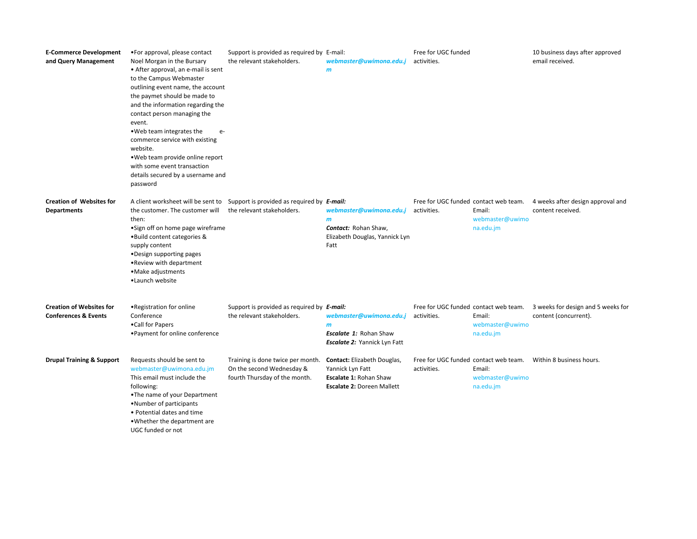| <b>E-Commerce Development</b><br>and Query Management              | •For approval, please contact<br>Noel Morgan in the Bursary<br>• After approval, an e-mail is sent<br>to the Campus Webmaster<br>outlining event name, the account<br>the paymet should be made to<br>and the information regarding the<br>contact person managing the<br>event.<br>. Web team integrates the<br>$e-$<br>commerce service with existing<br>website.<br>. Web team provide online report<br>with some event transaction<br>details secured by a username and<br>password | Support is provided as required by E-mail:<br>the relevant stakeholders.                        | webmaster@uwimona.edu.j<br>$\mathbf{m}$                                                                                      | Free for UGC funded<br>activities.                   |                                        | 10 business days after approved<br>email received.          |
|--------------------------------------------------------------------|-----------------------------------------------------------------------------------------------------------------------------------------------------------------------------------------------------------------------------------------------------------------------------------------------------------------------------------------------------------------------------------------------------------------------------------------------------------------------------------------|-------------------------------------------------------------------------------------------------|------------------------------------------------------------------------------------------------------------------------------|------------------------------------------------------|----------------------------------------|-------------------------------------------------------------|
| <b>Creation of Websites for</b><br><b>Departments</b>              | A client worksheet will be sent to<br>the customer. The customer will<br>then:<br>• Sign off on home page wireframe<br>. Build content categories &<br>supply content<br>•Design supporting pages<br>• Review with department<br>·Make adjustments<br>•Launch website                                                                                                                                                                                                                   | Support is provided as required by <b>E-mail:</b><br>the relevant stakeholders.                 | webmaster@uwimona.edu.j<br>$\mathbf{m}$<br>Contact: Rohan Shaw,<br>Elizabeth Douglas, Yannick Lyn<br>Fatt                    | Free for UGC funded contact web team.<br>activities. | Email:<br>webmaster@uwimo<br>na.edu.jm | 4 weeks after design approval and<br>content received.      |
| <b>Creation of Websites for</b><br><b>Conferences &amp; Events</b> | • Registration for online<br>Conference<br>•Call for Papers<br>• Payment for online conference                                                                                                                                                                                                                                                                                                                                                                                          | Support is provided as required by E-mail:<br>the relevant stakeholders.                        | webmaster@uwimona.edu.j<br>$\mathbf{m}$<br><b>Escalate 1: Rohan Shaw</b><br><b>Escalate 2: Yannick Lyn Fatt</b>              | Free for UGC funded contact web team.<br>activities. | Email:<br>webmaster@uwimo<br>na.edu.jm | 3 weeks for design and 5 weeks for<br>content (concurrent). |
| <b>Drupal Training &amp; Support</b>                               | Requests should be sent to<br>webmaster@uwimona.edu.jm<br>This email must include the<br>following:<br>•The name of your Department<br>. Number of participants<br>• Potential dates and time<br>. Whether the department are<br>UGC funded or not                                                                                                                                                                                                                                      | Training is done twice per month.<br>On the second Wednesday &<br>fourth Thursday of the month. | <b>Contact:</b> Elizabeth Douglas,<br>Yannick Lyn Fatt<br><b>Escalate 1: Rohan Shaw</b><br><b>Escalate 2: Doreen Mallett</b> | Free for UGC funded contact web team.<br>activities. | Email:<br>webmaster@uwimo<br>na.edu.jm | Within 8 business hours.                                    |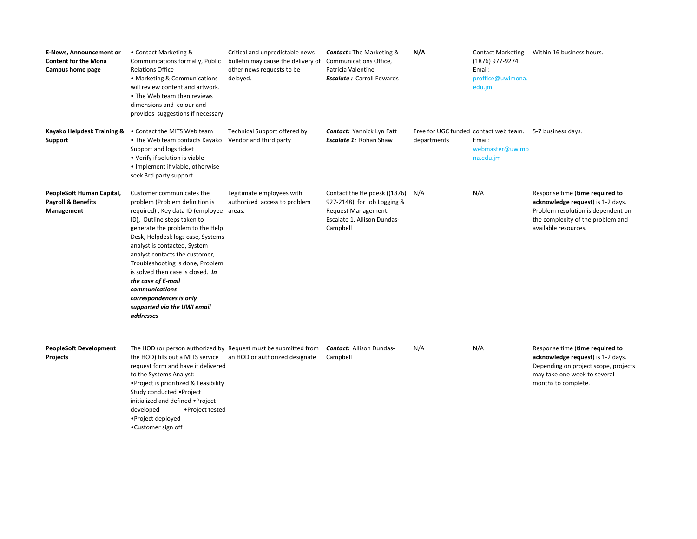| <b>E-News, Announcement or</b><br><b>Content for the Mona</b><br>Campus home page | • Contact Marketing &<br>Communications formally, Public<br><b>Relations Office</b><br>• Marketing & Communications<br>will review content and artwork.<br>• The Web team then reviews<br>dimensions and colour and<br>provides suggestions if necessary                                                                                                                                                                                                                 | Critical and unpredictable news<br>bulletin may cause the delivery of<br>other news requests to be<br>delayed. | <b>Contact:</b> The Marketing &<br>Communications Office,<br>Patricia Valentine<br><b>Escalate: Carroll Edwards</b>           | N/A         | <b>Contact Marketing</b><br>(1876) 977-9274.<br>Email:<br>proffice@uwimona.<br>edu.jm              | Within 16 business hours.                                                                                                                                               |
|-----------------------------------------------------------------------------------|--------------------------------------------------------------------------------------------------------------------------------------------------------------------------------------------------------------------------------------------------------------------------------------------------------------------------------------------------------------------------------------------------------------------------------------------------------------------------|----------------------------------------------------------------------------------------------------------------|-------------------------------------------------------------------------------------------------------------------------------|-------------|----------------------------------------------------------------------------------------------------|-------------------------------------------------------------------------------------------------------------------------------------------------------------------------|
| Support                                                                           | Kayako Helpdesk Training & . Contact the MITS Web team<br>• The Web team contacts Kayako<br>Support and logs ticket<br>• Verify if solution is viable<br>• Implement if viable, otherwise<br>seek 3rd party support                                                                                                                                                                                                                                                      | Technical Support offered by<br>Vendor and third party                                                         | <b>Contact:</b> Yannick Lyn Fatt<br><b>Escalate 1: Rohan Shaw</b>                                                             | departments | Free for UGC funded contact web team. 5-7 business days.<br>Email:<br>webmaster@uwimo<br>na.edu.jm |                                                                                                                                                                         |
| PeopleSoft Human Capital,<br><b>Payroll &amp; Benefits</b><br>Management          | Customer communicates the<br>problem (Problem definition is<br>required), Key data ID (employee areas.<br>ID), Outline steps taken to<br>generate the problem to the Help<br>Desk, Helpdesk logs case, Systems<br>analyst is contacted, System<br>analyst contacts the customer,<br>Troubleshooting is done, Problem<br>is solved then case is closed. In<br>the case of E-mail<br>communications<br>correspondences is only<br>supported via the UWI email<br>addresses | Legitimate employees with<br>authorized access to problem                                                      | Contact the Helpdesk ((1876)<br>927-2148) for Job Logging &<br>Request Management.<br>Escalate 1. Allison Dundas-<br>Campbell | N/A         | N/A                                                                                                | Response time (time required to<br>acknowledge request) is 1-2 days.<br>Problem resolution is dependent on<br>the complexity of the problem and<br>available resources. |
| <b>PeopleSoft Development</b><br>Projects                                         | The HOD (or person authorized by Request must be submitted from<br>the HOD) fills out a MITS service an HOD or authorized designate<br>request form and have it delivered<br>to the Systems Analyst:<br>• Project is prioritized & Feasibility<br>Study conducted • Project<br>initialized and defined . Project<br>developed<br>•Project tested<br>• Project deployed<br>•Customer sign off                                                                             |                                                                                                                | <b>Contact: Allison Dundas-</b><br>Campbell                                                                                   | N/A         | N/A                                                                                                | Response time (time required to<br>acknowledge request) is 1-2 days.<br>Depending on project scope, projects<br>may take one week to several<br>months to complete.     |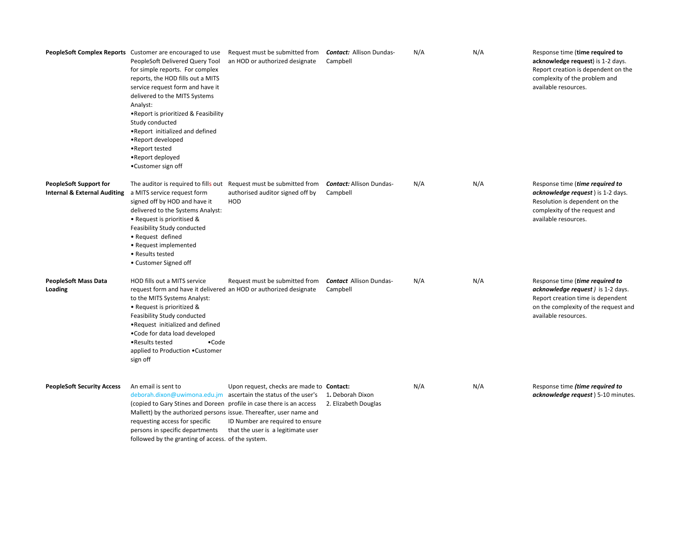|                                                                          | PeopleSoft Complex Reports Customer are encouraged to use<br>PeopleSoft Delivered Query Tool<br>for simple reports. For complex<br>reports, the HOD fills out a MITS<br>service request form and have it<br>delivered to the MITS Systems<br>Analyst:<br>. Report is prioritized & Feasibility<br>Study conducted<br>. Report initialized and defined<br>•Report developed<br>•Report tested<br>•Report deployed<br>•Customer sign off | Request must be submitted from<br>an HOD or authorized designate                                                                                                                                               | Contact: Allison Dundas-<br>Campbell        | N/A | N/A | Response time (time required to<br>acknowledge request) is 1-2 days.<br>Report creation is dependent on the<br>complexity of the problem and<br>available resources.       |
|--------------------------------------------------------------------------|----------------------------------------------------------------------------------------------------------------------------------------------------------------------------------------------------------------------------------------------------------------------------------------------------------------------------------------------------------------------------------------------------------------------------------------|----------------------------------------------------------------------------------------------------------------------------------------------------------------------------------------------------------------|---------------------------------------------|-----|-----|----------------------------------------------------------------------------------------------------------------------------------------------------------------------------|
| <b>PeopleSoft Support for</b><br><b>Internal &amp; External Auditing</b> | The auditor is required to fills out Request must be submitted from<br>a MITS service request form<br>signed off by HOD and have it<br>delivered to the Systems Analyst:<br>• Request is prioritised &<br>Feasibility Study conducted<br>• Request defined<br>• Request implemented<br>• Results tested<br>• Customer Signed off                                                                                                       | authorised auditor signed off by<br>HOD                                                                                                                                                                        | <b>Contact:</b> Allison Dundas-<br>Campbell | N/A | N/A | Response time (time required to<br>acknowledge request) is 1-2 days.<br>Resolution is dependent on the<br>complexity of the request and<br>available resources.            |
| <b>PeopleSoft Mass Data</b><br>Loading                                   | HOD fills out a MITS service<br>request form and have it delivered an HOD or authorized designate<br>to the MITS Systems Analyst:<br>• Request is prioritized &<br>Feasibility Study conducted<br>.Request initialized and defined<br>. Code for data load developed<br>•Results tested<br>$\bullet$ Code<br>applied to Production . Customer<br>sign off                                                                              | Request must be submitted from                                                                                                                                                                                 | <b>Contact Allison Dundas-</b><br>Campbell  | N/A | N/A | Response time (time required to<br>acknowledge request ) is 1-2 days.<br>Report creation time is dependent<br>on the complexity of the request and<br>available resources. |
| <b>PeopleSoft Security Access</b>                                        | An email is sent to<br>(copied to Gary Stines and Doreen profile in case there is an access<br>Mallett) by the authorized persons issue. Thereafter, user name and<br>requesting access for specific<br>persons in specific departments<br>followed by the granting of access. of the system.                                                                                                                                          | Upon request, checks are made to <b>Contact:</b><br>deborah.dixon@uwimona.edu.jm ascertain the status of the user's 1. Deborah Dixon<br>ID Number are required to ensure<br>that the user is a legitimate user | 2. Elizabeth Douglas                        | N/A | N/A | Response time <i>(time required to</i><br>acknowledge request ) 5-10 minutes.                                                                                              |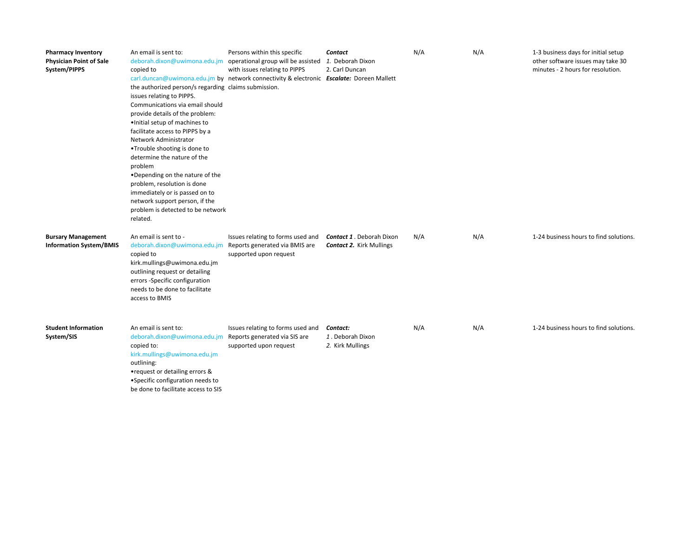| <b>Pharmacy Inventory</b><br><b>Physician Point of Sale</b><br>System/PIPPS | An email is sent to:<br>copied to<br>the authorized person/s regarding claims submission.<br>issues relating to PIPPS.<br>Communications via email should<br>provide details of the problem:<br>· Initial setup of machines to<br>facilitate access to PIPPS by a<br>Network Administrator<br>•Trouble shooting is done to<br>determine the nature of the<br>problem<br>. Depending on the nature of the<br>problem, resolution is done<br>immediately or is passed on to<br>network support person, if the<br>problem is detected to be network<br>related. | Persons within this specific<br>deborah.dixon@uwimona.edu.jm operational group will be assisted<br>with issues relating to PIPPS<br>carl.duncan@uwimona.edu.jm by network connectivity & electronic Escalate: Doreen Mallett | <b>Contact</b><br>1. Deborah Dixon<br>2. Carl Duncan               | N/A | N/A | 1-3 business days for initial setup<br>other software issues may take 30<br>minutes - 2 hours for resolution. |
|-----------------------------------------------------------------------------|--------------------------------------------------------------------------------------------------------------------------------------------------------------------------------------------------------------------------------------------------------------------------------------------------------------------------------------------------------------------------------------------------------------------------------------------------------------------------------------------------------------------------------------------------------------|------------------------------------------------------------------------------------------------------------------------------------------------------------------------------------------------------------------------------|--------------------------------------------------------------------|-----|-----|---------------------------------------------------------------------------------------------------------------|
| <b>Bursary Management</b><br><b>Information System/BMIS</b>                 | An email is sent to -<br>deborah.dixon@uwimona.edu.jm<br>copied to<br>kirk.mullings@uwimona.edu.jm<br>outlining request or detailing<br>errors -Specific configuration<br>needs to be done to facilitate<br>access to BMIS                                                                                                                                                                                                                                                                                                                                   | Issues relating to forms used and<br>Reports generated via BMIS are<br>supported upon request                                                                                                                                | <b>Contact 1. Deborah Dixon</b><br><b>Contact 2. Kirk Mullings</b> | N/A | N/A | 1-24 business hours to find solutions.                                                                        |
| <b>Student Information</b><br>System/SIS                                    | An email is sent to:<br>deborah.dixon@uwimona.edu.jm<br>copied to:<br>kirk.mullings@uwimona.edu.jm<br>outlining:<br>• request or detailing errors &<br>• Specific configuration needs to<br>be done to facilitate access to SIS                                                                                                                                                                                                                                                                                                                              | Issues relating to forms used and<br>Reports generated via SIS are<br>supported upon request                                                                                                                                 | Contact:<br>1. Deborah Dixon<br>2. Kirk Mullings                   | N/A | N/A | 1-24 business hours to find solutions.                                                                        |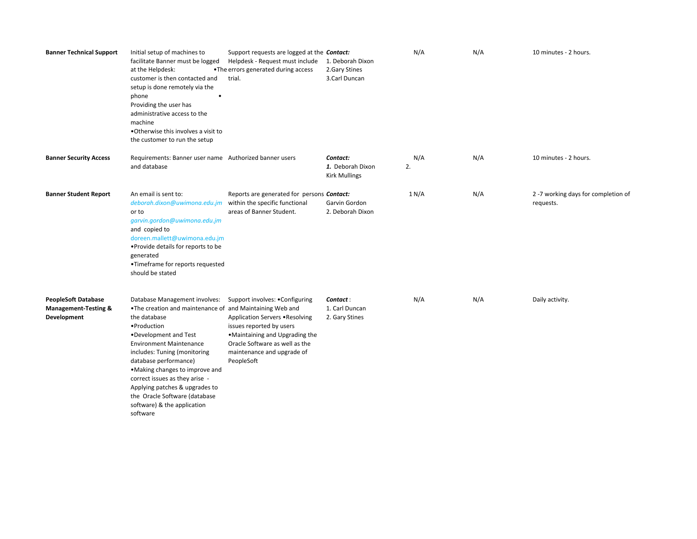| <b>Banner Technical Support</b>                                              | Initial setup of machines to<br>facilitate Banner must be logged<br>at the Helpdesk:<br>customer is then contacted and<br>setup is done remotely via the<br>phone<br>Providing the user has<br>administrative access to the<br>machine<br>. Otherwise this involves a visit to<br>the customer to run the setup                                                                                                                   | Support requests are logged at the <b>Contact:</b><br>Helpdesk - Request must include<br>•The errors generated during access<br>trial.                                                                         | 1. Deborah Dixon<br>2.Gary Stines<br>3.Carl Duncan   | N/A       | N/A | 10 minutes - 2 hours.                            |
|------------------------------------------------------------------------------|-----------------------------------------------------------------------------------------------------------------------------------------------------------------------------------------------------------------------------------------------------------------------------------------------------------------------------------------------------------------------------------------------------------------------------------|----------------------------------------------------------------------------------------------------------------------------------------------------------------------------------------------------------------|------------------------------------------------------|-----------|-----|--------------------------------------------------|
| <b>Banner Security Access</b>                                                | Requirements: Banner user name Authorized banner users<br>and database                                                                                                                                                                                                                                                                                                                                                            |                                                                                                                                                                                                                | Contact:<br>1. Deborah Dixon<br><b>Kirk Mullings</b> | N/A<br>2. | N/A | 10 minutes - 2 hours.                            |
| <b>Banner Student Report</b>                                                 | An email is sent to:<br>deborah.dixon@uwimona.edu.jm<br>or to<br>garvin.gordon@uwimona.edu.jm<br>and copied to<br>doreen.mallett@uwimona.edu.jm<br>• Provide details for reports to be<br>generated<br>•Timeframe for reports requested<br>should be stated                                                                                                                                                                       | Reports are generated for persons Contact:<br>within the specific functional<br>areas of Banner Student.                                                                                                       | Garvin Gordon<br>2. Deborah Dixon                    | 1 N/A     | N/A | 2 -7 working days for completion of<br>requests. |
| <b>PeopleSoft Database</b><br><b>Management-Testing &amp;</b><br>Development | Database Management involves:<br>. The creation and maintenance of and Maintaining Web and<br>the database<br>· Production<br>•Development and Test<br><b>Environment Maintenance</b><br>includes: Tuning (monitoring<br>database performance)<br>. Making changes to improve and<br>correct issues as they arise -<br>Applying patches & upgrades to<br>the Oracle Software (database<br>software) & the application<br>software | Support involves: . Configuring<br>Application Servers . Resolving<br>issues reported by users<br>•Maintaining and Upgrading the<br>Oracle Software as well as the<br>maintenance and upgrade of<br>PeopleSoft | Contact:<br>1. Carl Duncan<br>2. Gary Stines         | N/A       | N/A | Daily activity.                                  |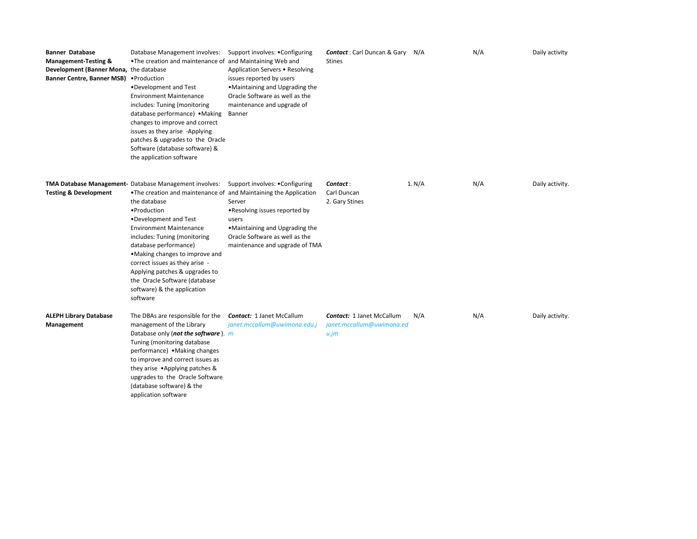| <b>Banner Database</b><br><b>Management-Testing &amp;</b><br>Development (Banner Mona, the database<br>Banner Centre, Banner MSB) . Production | Database Management involves:<br>. The creation and maintenance of and Maintaining Web and<br>•Development and Test<br><b>Environment Maintenance</b><br>includes: Tuning (monitoring<br>database performance) • Making<br>changes to improve and correct<br>issues as they arise -Applying<br>patches & upgrades to the Oracle<br>Software (database software) &<br>the application software                                                                      | Support involves: . Configuring<br>Application Servers . Resolving<br>issues reported by users<br>. Maintaining and Upgrading the<br>Oracle Software as well as the<br>maintenance and upgrade of<br>Banner | <b>Contact:</b> Carl Duncan & Gary N/A<br>Stines                          |        | N/A | Daily activity  |
|------------------------------------------------------------------------------------------------------------------------------------------------|--------------------------------------------------------------------------------------------------------------------------------------------------------------------------------------------------------------------------------------------------------------------------------------------------------------------------------------------------------------------------------------------------------------------------------------------------------------------|-------------------------------------------------------------------------------------------------------------------------------------------------------------------------------------------------------------|---------------------------------------------------------------------------|--------|-----|-----------------|
| <b>Testing &amp; Development</b>                                                                                                               | TMA Database Management- Database Management involves:<br>. The creation and maintenance of and Maintaining the Application<br>the database<br>• Production<br>•Development and Test<br><b>Environment Maintenance</b><br>includes: Tuning (monitoring<br>database performance)<br>• Making changes to improve and<br>correct issues as they arise -<br>Applying patches & upgrades to<br>the Oracle Software (database<br>software) & the application<br>software | Support involves: . Configuring<br>Server<br>. Resolving issues reported by<br>users<br>•Maintaining and Upgrading the<br>Oracle Software as well as the<br>maintenance and upgrade of TMA                  | Contact :<br>Carl Duncan<br>2. Gary Stines                                | 1. N/A | N/A | Daily activity. |
| <b>ALEPH Library Database</b><br>Management                                                                                                    | The DBAs are responsible for the<br>management of the Library<br>Database only (not the software). m<br>Tuning (monitoring database<br>performance) • Making changes<br>to improve and correct issues as<br>they arise .Applying patches &<br>upgrades to the Oracle Software<br>(database software) & the<br>application software                                                                                                                                 | <b>Contact: 1 Janet McCallum</b><br>janet.mccallum@uwimona.edu.j                                                                                                                                            | <b>Contact: 1 Janet McCallum</b><br>janet.mccallum@uwimona.ed<br>$u$ . jm | N/A    | N/A | Daily activity. |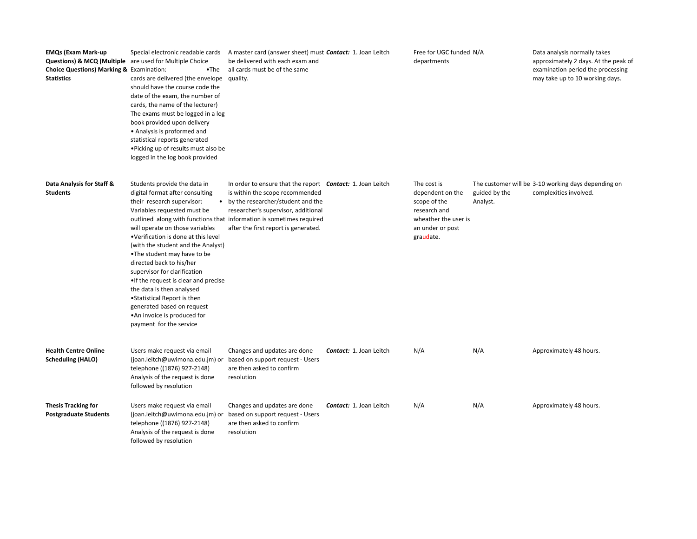| <b>EMQs (Exam Mark-up</b><br><b>Questions) &amp; MCQ (Multiple</b> are used for Multiple Choice<br><b>Choice Questions) Marking &amp; Examination:</b><br><b>Statistics</b> | $\bullet$ The<br>cards are delivered (the envelope quality.<br>should have the course code the<br>date of the exam, the number of<br>cards, the name of the lecturer)<br>The exams must be logged in a log<br>book provided upon delivery<br>• Analysis is proformed and<br>statistical reports generated<br>. Picking up of results must also be<br>logged in the log book provided                                                                                                                                                   | Special electronic readable cards A master card (answer sheet) must <b>Contact:</b> 1. Joan Leitch<br>be delivered with each exam and<br>all cards must be of the same                                                                                                                             |                                | Free for UGC funded N/A<br>departments                                                                                   |                           | Data analysis normally takes<br>approximately 2 days. At the peak of<br>examination period the processing<br>may take up to 10 working days. |
|-----------------------------------------------------------------------------------------------------------------------------------------------------------------------------|----------------------------------------------------------------------------------------------------------------------------------------------------------------------------------------------------------------------------------------------------------------------------------------------------------------------------------------------------------------------------------------------------------------------------------------------------------------------------------------------------------------------------------------|----------------------------------------------------------------------------------------------------------------------------------------------------------------------------------------------------------------------------------------------------------------------------------------------------|--------------------------------|--------------------------------------------------------------------------------------------------------------------------|---------------------------|----------------------------------------------------------------------------------------------------------------------------------------------|
| Data Analysis for Staff &<br><b>Students</b>                                                                                                                                | Students provide the data in<br>digital format after consulting<br>their research supervisor:<br>Variables requested must be<br>will operate on those variables<br>•Verification is done at this level<br>(with the student and the Analyst)<br>•The student may have to be<br>directed back to his/her<br>supervisor for clarification<br>• If the request is clear and precise<br>the data is then analysed<br>• Statistical Report is then<br>generated based on request<br>• An invoice is produced for<br>payment for the service | In order to ensure that the report <b>Contact:</b> 1. Joan Leitch<br>is within the scope recommended<br>• by the researcher/student and the<br>researcher's supervisor, additional<br>outlined along with functions that information is sometimes required<br>after the first report is generated. |                                | The cost is<br>dependent on the<br>scope of the<br>research and<br>wheather the user is<br>an under or post<br>graudate. | guided by the<br>Analyst. | The customer will be 3-10 working days depending on<br>complexities involved.                                                                |
| <b>Health Centre Online</b><br><b>Scheduling (HALO)</b>                                                                                                                     | Users make request via email<br>(joan.leitch@uwimona.edu.jm) or based on support request - Users<br>telephone ((1876) 927-2148)<br>Analysis of the request is done<br>followed by resolution                                                                                                                                                                                                                                                                                                                                           | Changes and updates are done<br>are then asked to confirm<br>resolution                                                                                                                                                                                                                            | <b>Contact: 1. Joan Leitch</b> | N/A                                                                                                                      | N/A                       | Approximately 48 hours.                                                                                                                      |
| <b>Thesis Tracking for</b><br><b>Postgraduate Students</b>                                                                                                                  | Users make request via email<br>(joan.leitch@uwimona.edu.jm) or based on support request - Users<br>telephone ((1876) 927-2148)<br>Analysis of the request is done<br>followed by resolution                                                                                                                                                                                                                                                                                                                                           | Changes and updates are done<br>are then asked to confirm<br>resolution                                                                                                                                                                                                                            | <b>Contact: 1. Joan Leitch</b> | N/A                                                                                                                      | N/A                       | Approximately 48 hours.                                                                                                                      |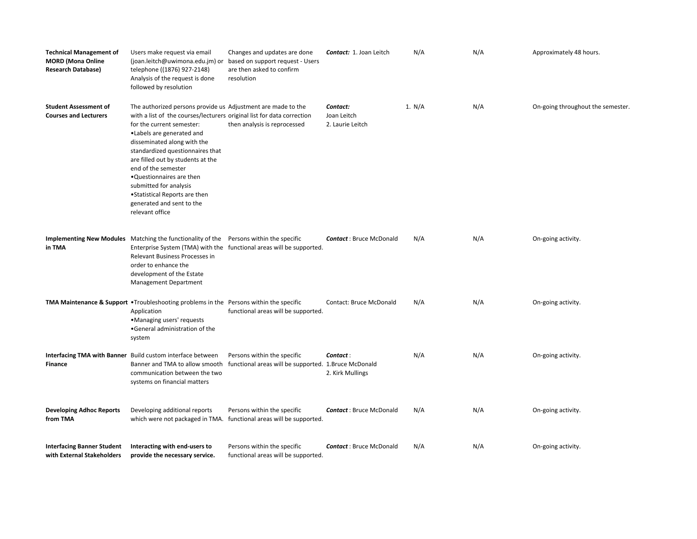| <b>Technical Management of</b><br><b>MORD</b> (Mona Online<br><b>Research Database)</b> | Users make request via email<br>(joan.leitch@uwimona.edu.jm) or<br>telephone ((1876) 927-2148)<br>Analysis of the request is done<br>followed by resolution                                                                                                                                                                                                                                                                                                              | Changes and updates are done<br>based on support request - Users<br>are then asked to confirm<br>resolution | Contact: 1. Joan Leitch                     | N/A    | N/A | Approximately 48 hours.           |
|-----------------------------------------------------------------------------------------|--------------------------------------------------------------------------------------------------------------------------------------------------------------------------------------------------------------------------------------------------------------------------------------------------------------------------------------------------------------------------------------------------------------------------------------------------------------------------|-------------------------------------------------------------------------------------------------------------|---------------------------------------------|--------|-----|-----------------------------------|
| <b>Student Assessment of</b><br><b>Courses and Lecturers</b>                            | The authorized persons provide us Adjustment are made to the<br>with a list of the courses/lecturers original list for data correction<br>for the current semester:<br>• Labels are generated and<br>disseminated along with the<br>standardized questionnaires that<br>are filled out by students at the<br>end of the semester<br>.Questionnaires are then<br>submitted for analysis<br>• Statistical Reports are then<br>generated and sent to the<br>relevant office | then analysis is reprocessed                                                                                | Contact:<br>Joan Leitch<br>2. Laurie Leitch | 1. N/A | N/A | On-going throughout the semester. |
| in TMA                                                                                  | Implementing New Modules Matching the functionality of the Persons within the specific<br>Relevant Business Processes in<br>order to enhance the<br>development of the Estate<br><b>Management Department</b>                                                                                                                                                                                                                                                            | Enterprise System (TMA) with the functional areas will be supported.                                        | <b>Contact: Bruce McDonald</b>              | N/A    | N/A | On-going activity.                |
|                                                                                         | TMA Maintenance & Support • Troubleshooting problems in the Persons within the specific<br>Application<br>•Managing users' requests<br>•General administration of the<br>system                                                                                                                                                                                                                                                                                          | functional areas will be supported.                                                                         | Contact: Bruce McDonald                     | N/A    | N/A | On-going activity.                |
| <b>Finance</b>                                                                          | Interfacing TMA with Banner Build custom interface between<br>Banner and TMA to allow smooth<br>communication between the two<br>systems on financial matters                                                                                                                                                                                                                                                                                                            | Persons within the specific<br>functional areas will be supported. 1.Bruce McDonald                         | Contact:<br>2. Kirk Mullings                | N/A    | N/A | On-going activity.                |
| <b>Developing Adhoc Reports</b><br>from TMA                                             | Developing additional reports                                                                                                                                                                                                                                                                                                                                                                                                                                            | Persons within the specific<br>which were not packaged in TMA. functional areas will be supported.          | <b>Contact: Bruce McDonald</b>              | N/A    | N/A | On-going activity.                |
| <b>Interfacing Banner Student</b><br>with External Stakeholders                         | Interacting with end-users to<br>provide the necessary service.                                                                                                                                                                                                                                                                                                                                                                                                          | Persons within the specific<br>functional areas will be supported.                                          | <b>Contact: Bruce McDonald</b>              | N/A    | N/A | On-going activity.                |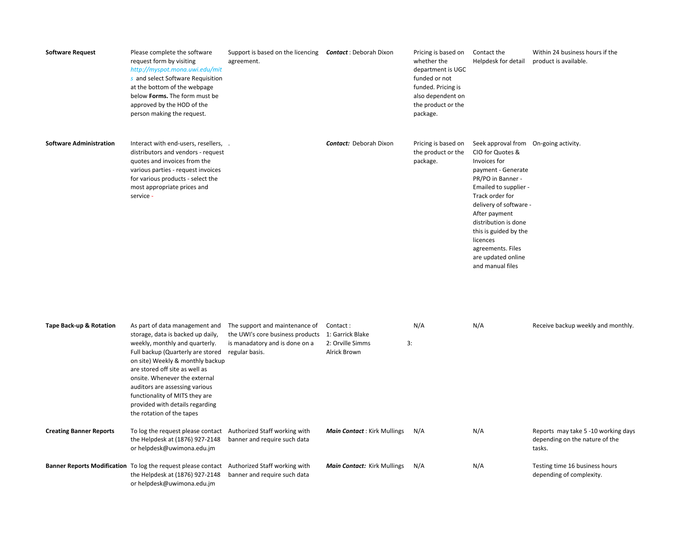| <b>Software Request</b>        | Please complete the software<br>request form by visiting<br>http://myspot.mona.uwi.edu/mit<br>s and select Software Requisition<br>at the bottom of the webpage<br>below Forms. The form must be<br>approved by the HOD of the<br>person making the request.                                                                                        | Support is based on the licencing <b>Contact</b> : Deborah Dixon<br>agreement.                                                                        |                                                                  | Pricing is based on<br>whether the<br>department is UGC<br>funded or not<br>funded. Pricing is<br>also dependent on<br>the product or the<br>package. | Contact the<br>Helpdesk for detail                                                                                                                                                                                                                                                                                                      | Within 24 business hours if the<br>product is available.                        |
|--------------------------------|-----------------------------------------------------------------------------------------------------------------------------------------------------------------------------------------------------------------------------------------------------------------------------------------------------------------------------------------------------|-------------------------------------------------------------------------------------------------------------------------------------------------------|------------------------------------------------------------------|-------------------------------------------------------------------------------------------------------------------------------------------------------|-----------------------------------------------------------------------------------------------------------------------------------------------------------------------------------------------------------------------------------------------------------------------------------------------------------------------------------------|---------------------------------------------------------------------------------|
| <b>Software Administration</b> | Interact with end-users, resellers, .<br>distributors and vendors - request<br>quotes and invoices from the<br>various parties - request invoices<br>for various products - select the<br>most appropriate prices and<br>service -                                                                                                                  |                                                                                                                                                       | <b>Contact:</b> Deborah Dixon                                    | Pricing is based on<br>the product or the<br>package.                                                                                                 | Seek approval from On-going activity.<br>CIO for Quotes &<br>Invoices for<br>payment - Generate<br>PR/PO in Banner -<br>Emailed to supplier -<br>Track order for<br>delivery of software -<br>After payment<br>distribution is done<br>this is guided by the<br>licences<br>agreements. Files<br>are updated online<br>and manual files |                                                                                 |
| Tape Back-up & Rotation        | storage, data is backed up daily,<br>weekly, monthly and quarterly.<br>Full backup (Quarterly are stored<br>on site) Weekly & monthly backup<br>are stored off site as well as<br>onsite. Whenever the external<br>auditors are assessing various<br>functionality of MITS they are<br>provided with details regarding<br>the rotation of the tapes | As part of data management and The support and maintenance of<br>the UWI's core business products<br>is manadatory and is done on a<br>regular basis. | Contact:<br>1: Garrick Blake<br>2: Orville Simms<br>Alrick Brown | N/A<br>3:                                                                                                                                             | N/A                                                                                                                                                                                                                                                                                                                                     | Receive backup weekly and monthly.                                              |
| <b>Creating Banner Reports</b> | To log the request please contact Authorized Staff working with<br>the Helpdesk at (1876) 927-2148<br>or helpdesk@uwimona.edu.jm                                                                                                                                                                                                                    | banner and require such data                                                                                                                          | <b>Main Contact: Kirk Mullings</b>                               | N/A                                                                                                                                                   | N/A                                                                                                                                                                                                                                                                                                                                     | Reports may take 5 -10 working days<br>depending on the nature of the<br>tasks. |
|                                | Banner Reports Modification To log the request please contact Authorized Staff working with<br>the Helpdesk at (1876) 927-2148<br>or helpdesk@uwimona.edu.jm                                                                                                                                                                                        | banner and require such data                                                                                                                          | Main Contact: Kirk Mullings                                      | N/A                                                                                                                                                   | N/A                                                                                                                                                                                                                                                                                                                                     | Testing time 16 business hours<br>depending of complexity.                      |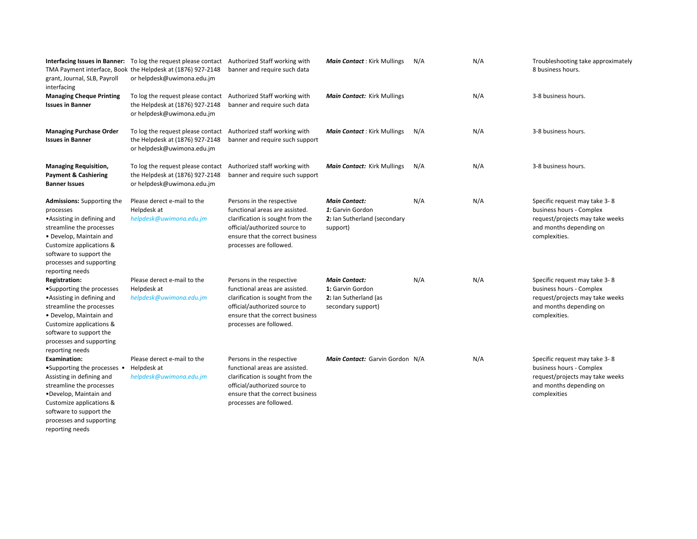| grant, Journal, SLB, Payroll<br>interfacing                                                                                                                                                                                                   | Interfacing Issues in Banner: To log the request please contact Authorized Staff working with<br>TMA Payment interface, Book the Helpdesk at (1876) 927-2148<br>or helpdesk@uwimona.edu.jm | banner and require such data                                                                                                                                                                    | <b>Main Contact: Kirk Mullings</b>                                                      | N/A | N/A | Troubleshooting take approximately<br>8 business hours.                                                                                  |
|-----------------------------------------------------------------------------------------------------------------------------------------------------------------------------------------------------------------------------------------------|--------------------------------------------------------------------------------------------------------------------------------------------------------------------------------------------|-------------------------------------------------------------------------------------------------------------------------------------------------------------------------------------------------|-----------------------------------------------------------------------------------------|-----|-----|------------------------------------------------------------------------------------------------------------------------------------------|
| <b>Managing Cheque Printing</b><br><b>Issues in Banner</b>                                                                                                                                                                                    | To log the request please contact<br>the Helpdesk at (1876) 927-2148<br>or helpdesk@uwimona.edu.jm                                                                                         | Authorized Staff working with<br>banner and require such data                                                                                                                                   | Main Contact: Kirk Mullings                                                             |     | N/A | 3-8 business hours.                                                                                                                      |
| <b>Managing Purchase Order</b><br><b>Issues in Banner</b>                                                                                                                                                                                     | To log the request please contact<br>the Helpdesk at (1876) 927-2148<br>or helpdesk@uwimona.edu.jm                                                                                         | Authorized staff working with<br>banner and require such support                                                                                                                                | <b>Main Contact:</b> Kirk Mullings                                                      | N/A | N/A | 3-8 business hours.                                                                                                                      |
| <b>Managing Requisition,</b><br><b>Payment &amp; Cashiering</b><br><b>Banner Issues</b>                                                                                                                                                       | To log the request please contact<br>the Helpdesk at (1876) 927-2148<br>or helpdesk@uwimona.edu.jm                                                                                         | Authorized staff working with<br>banner and require such support                                                                                                                                | Main Contact: Kirk Mullings                                                             | N/A | N/A | 3-8 business hours.                                                                                                                      |
| <b>Admissions:</b> Supporting the<br>processes<br>• Assisting in defining and<br>streamline the processes<br>• Develop, Maintain and<br>Customize applications &<br>software to support the<br>processes and supporting<br>reporting needs    | Please derect e-mail to the<br>Helpdesk at<br>helpdesk@uwimona.edu.jm                                                                                                                      | Persons in the respective<br>functional areas are assisted.<br>clarification is sought from the<br>official/authorized source to<br>ensure that the correct business<br>processes are followed. | <b>Main Contact:</b><br>1: Garvin Gordon<br>2: Ian Sutherland (secondary<br>support)    | N/A | N/A | Specific request may take 3-8<br>business hours - Complex<br>request/projects may take weeks<br>and months depending on<br>complexities. |
| <b>Registration:</b><br>•Supporting the processes<br>• Assisting in defining and<br>streamline the processes<br>• Develop, Maintain and<br>Customize applications &<br>software to support the<br>processes and supporting<br>reporting needs | Please derect e-mail to the<br>Helpdesk at<br>helpdesk@uwimona.edu.jm                                                                                                                      | Persons in the respective<br>functional areas are assisted.<br>clarification is sought from the<br>official/authorized source to<br>ensure that the correct business<br>processes are followed. | <b>Main Contact:</b><br>1: Garvin Gordon<br>2: Ian Sutherland (as<br>secondary support) | N/A | N/A | Specific request may take 3-8<br>business hours - Complex<br>request/projects may take weeks<br>and months depending on<br>complexities. |
| <b>Examination:</b><br>$\bullet$ Supporting the processes $\bullet$<br>Assisting in defining and<br>streamline the processes<br>•Develop, Maintain and<br>Customize applications &<br>software to support the                                 | Please derect e-mail to the<br>Helpdesk at<br>helpdesk@uwimona.edu.jm                                                                                                                      | Persons in the respective<br>functional areas are assisted.<br>clarification is sought from the<br>official/authorized source to<br>ensure that the correct business<br>processes are followed. | Main Contact: Garvin Gordon N/A                                                         |     | N/A | Specific request may take 3-8<br>business hours - Complex<br>request/projects may take weeks<br>and months depending on<br>complexities  |

processes and supporting reporting needs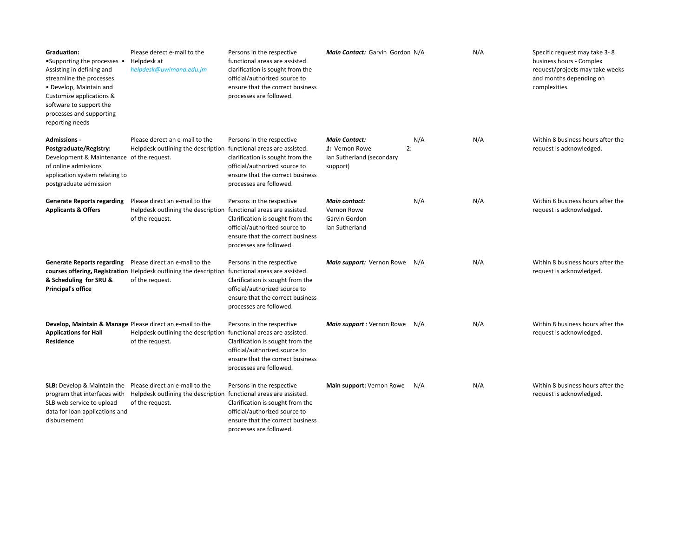| <b>Graduation:</b><br>$\bullet$ Supporting the processes $\bullet$<br>Assisting in defining and<br>streamline the processes<br>• Develop, Maintain and<br>Customize applications &<br>software to support the<br>processes and supporting<br>reporting needs | Please derect e-mail to the<br>Helpdesk at<br>helpdesk@uwimona.edu.jm                                                  | Persons in the respective<br>functional areas are assisted.<br>clarification is sought from the<br>official/authorized source to<br>ensure that the correct business<br>processes are followed. | Main Contact: Garvin Gordon N/A                                                       |     | N/A | Specific request may take 3-8<br>business hours - Complex<br>request/projects may take weeks<br>and months depending on<br>complexities. |
|--------------------------------------------------------------------------------------------------------------------------------------------------------------------------------------------------------------------------------------------------------------|------------------------------------------------------------------------------------------------------------------------|-------------------------------------------------------------------------------------------------------------------------------------------------------------------------------------------------|---------------------------------------------------------------------------------------|-----|-----|------------------------------------------------------------------------------------------------------------------------------------------|
| <b>Admissions -</b><br>Postgraduate/Registry:<br>Development & Maintenance of the request.<br>of online admissions<br>application system relating to<br>postgraduate admission                                                                               | Please derect an e-mail to the<br>Helpdesk outlining the description functional areas are assisted.                    | Persons in the respective<br>clarification is sought from the<br>official/authorized source to<br>ensure that the correct business<br>processes are followed.                                   | <b>Main Contact:</b><br>1: Vernon Rowe<br>2:<br>Ian Sutherland (secondary<br>support) | N/A | N/A | Within 8 business hours after the<br>request is acknowledged.                                                                            |
| <b>Generate Reports regarding</b><br><b>Applicants &amp; Offers</b>                                                                                                                                                                                          | Please direct an e-mail to the<br>Helpdesk outlining the description<br>of the request.                                | Persons in the respective<br>functional areas are assisted.<br>Clarification is sought from the<br>official/authorized source to<br>ensure that the correct business<br>processes are followed. | <b>Main contact:</b><br>Vernon Rowe<br>Garvin Gordon<br>Ian Sutherland                | N/A | N/A | Within 8 business hours after the<br>request is acknowledged.                                                                            |
| <b>Generate Reports regarding</b><br>& Scheduling for SRU &<br><b>Principal's office</b>                                                                                                                                                                     | Please direct an e-mail to the<br>courses offering, Registration Helpdesk outlining the description<br>of the request. | Persons in the respective<br>functional areas are assisted.<br>Clarification is sought from the<br>official/authorized source to<br>ensure that the correct business<br>processes are followed. | Main support: Vernon Rowe N/A                                                         |     | N/A | Within 8 business hours after the<br>request is acknowledged.                                                                            |
| <b>Applications for Hall</b><br><b>Residence</b>                                                                                                                                                                                                             | Develop, Maintain & Manage Please direct an e-mail to the<br>Helpdesk outlining the description<br>of the request.     | Persons in the respective<br>functional areas are assisted.<br>Clarification is sought from the<br>official/authorized source to<br>ensure that the correct business<br>processes are followed. | <b>Main support</b> : Vernon Rowe N/A                                                 |     | N/A | Within 8 business hours after the<br>request is acknowledged.                                                                            |
| <b>SLB:</b> Develop & Maintain the Please direct an e-mail to the<br>program that interfaces with<br>SLB web service to upload<br>data for loan applications and<br>disbursement                                                                             | Helpdesk outlining the description<br>of the request.                                                                  | Persons in the respective<br>functional areas are assisted.<br>Clarification is sought from the<br>official/authorized source to<br>ensure that the correct business<br>processes are followed. | Main support: Vernon Rowe                                                             | N/A | N/A | Within 8 business hours after the<br>request is acknowledged.                                                                            |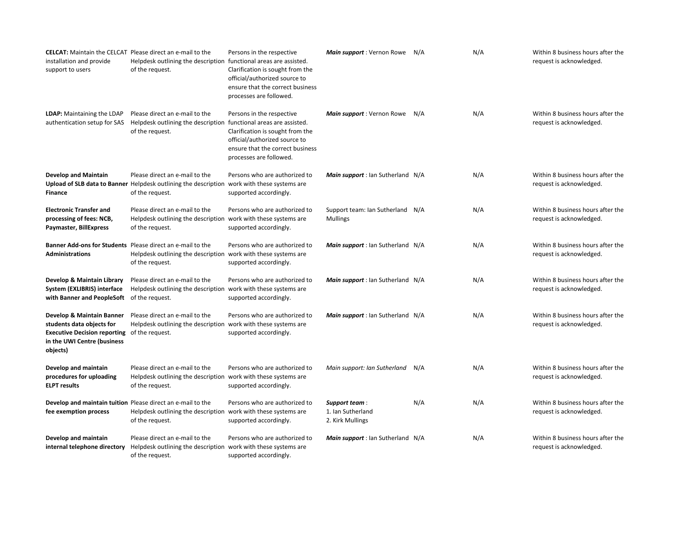| <b>CELCAT:</b> Maintain the CELCAT Please direct an e-mail to the<br>installation and provide<br>support to users                                        | Helpdesk outlining the description functional areas are assisted.<br>of the request.                                                             | Persons in the respective<br>Clarification is sought from the<br>official/authorized source to<br>ensure that the correct business<br>processes are followed. | Main support: Vernon Rowe N/A                          |     | N/A | Within 8 business hours after the<br>request is acknowledged. |
|----------------------------------------------------------------------------------------------------------------------------------------------------------|--------------------------------------------------------------------------------------------------------------------------------------------------|---------------------------------------------------------------------------------------------------------------------------------------------------------------|--------------------------------------------------------|-----|-----|---------------------------------------------------------------|
| LDAP: Maintaining the LDAP<br>authentication setup for SAS                                                                                               | Please direct an e-mail to the<br>Helpdesk outlining the description functional areas are assisted.<br>of the request.                           | Persons in the respective<br>Clarification is sought from the<br>official/authorized source to<br>ensure that the correct business<br>processes are followed. | Main support : Vernon Rowe                             | N/A | N/A | Within 8 business hours after the<br>request is acknowledged. |
| <b>Develop and Maintain</b><br>Finance                                                                                                                   | Please direct an e-mail to the<br>Upload of SLB data to Banner Helpdesk outlining the description work with these systems are<br>of the request. | Persons who are authorized to<br>supported accordingly.                                                                                                       | Main support : Ian Sutherland N/A                      |     | N/A | Within 8 business hours after the<br>request is acknowledged. |
| <b>Electronic Transfer and</b><br>processing of fees: NCB,<br>Paymaster, BillExpress                                                                     | Please direct an e-mail to the<br>Helpdesk outlining the description work with these systems are<br>of the request.                              | Persons who are authorized to<br>supported accordingly.                                                                                                       | Support team: Ian Sutherland N/A<br><b>Mullings</b>    |     | N/A | Within 8 business hours after the<br>request is acknowledged. |
| Banner Add-ons for Students Please direct an e-mail to the<br><b>Administrations</b>                                                                     | Helpdesk outlining the description work with these systems are<br>of the request.                                                                | Persons who are authorized to<br>supported accordingly.                                                                                                       | Main support : Ian Sutherland N/A                      |     | N/A | Within 8 business hours after the<br>request is acknowledged. |
| Develop & Maintain Library<br>System (EXLIBRIS) interface<br>with Banner and PeopleSoft of the request.                                                  | Please direct an e-mail to the<br>Helpdesk outlining the description work with these systems are                                                 | Persons who are authorized to<br>supported accordingly.                                                                                                       | Main support : Ian Sutherland N/A                      |     | N/A | Within 8 business hours after the<br>request is acknowledged. |
| Develop & Maintain Banner<br>students data objects for<br><b>Executive Decision reporting</b> of the request.<br>in the UWI Centre (business<br>objects) | Please direct an e-mail to the<br>Helpdesk outlining the description work with these systems are                                                 | Persons who are authorized to<br>supported accordingly.                                                                                                       | Main support : Ian Sutherland N/A                      |     | N/A | Within 8 business hours after the<br>request is acknowledged. |
| Develop and maintain<br>procedures for uploading<br><b>ELPT</b> results                                                                                  | Please direct an e-mail to the<br>Helpdesk outlining the description work with these systems are<br>of the request.                              | Persons who are authorized to<br>supported accordingly.                                                                                                       | Main support: Ian Sutherland                           | N/A | N/A | Within 8 business hours after the<br>request is acknowledged. |
| fee exemption process                                                                                                                                    | Develop and maintain tuition Please direct an e-mail to the<br>Helpdesk outlining the description work with these systems are<br>of the request. | Persons who are authorized to<br>supported accordingly.                                                                                                       | Support team:<br>1. Ian Sutherland<br>2. Kirk Mullings | N/A | N/A | Within 8 business hours after the<br>request is acknowledged. |
| Develop and maintain<br>internal telephone directory                                                                                                     | Please direct an e-mail to the<br>Helpdesk outlining the description work with these systems are<br>of the request.                              | Persons who are authorized to<br>supported accordingly.                                                                                                       | Main support : Ian Sutherland N/A                      |     | N/A | Within 8 business hours after the<br>request is acknowledged. |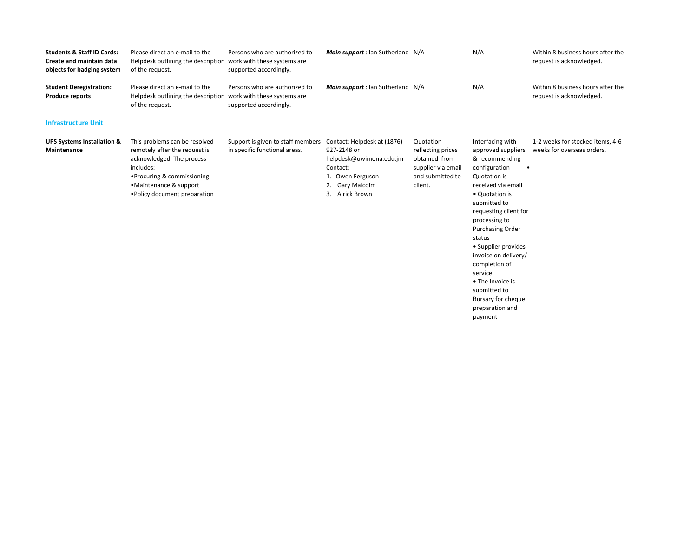| <b>Students &amp; Staff ID Cards:</b><br><b>Create and maintain data</b><br>objects for badging system | Please direct an e-mail to the<br>Helpdesk outlining the description<br>of the request.                                                                                                            | Persons who are authorized to<br>work with these systems are<br>supported accordingly. | Main support : Ian Sutherland N/A                                                                                                           |                                                                                                      | N/A                                                                                                                                                                                                                                                                                                                                                                   | Within 8 business hours after the<br>request is acknowledged.  |
|--------------------------------------------------------------------------------------------------------|----------------------------------------------------------------------------------------------------------------------------------------------------------------------------------------------------|----------------------------------------------------------------------------------------|---------------------------------------------------------------------------------------------------------------------------------------------|------------------------------------------------------------------------------------------------------|-----------------------------------------------------------------------------------------------------------------------------------------------------------------------------------------------------------------------------------------------------------------------------------------------------------------------------------------------------------------------|----------------------------------------------------------------|
| <b>Student Deregistration:</b><br><b>Produce reports</b>                                               | Please direct an e-mail to the<br>Helpdesk outlining the description<br>of the request.                                                                                                            | Persons who are authorized to<br>work with these systems are<br>supported accordingly. | Main support : Ian Sutherland N/A                                                                                                           |                                                                                                      | N/A                                                                                                                                                                                                                                                                                                                                                                   | Within 8 business hours after the<br>request is acknowledged.  |
| <b>Infrastructure Unit</b>                                                                             |                                                                                                                                                                                                    |                                                                                        |                                                                                                                                             |                                                                                                      |                                                                                                                                                                                                                                                                                                                                                                       |                                                                |
| <b>UPS Systems Installation &amp;</b><br><b>Maintenance</b>                                            | This problems can be resolved<br>remotely after the request is<br>acknowledged. The process<br>includes:<br>• Procuring & commissioning<br>•Maintenance & support<br>• Policy document preparation | Support is given to staff members<br>in specific functional areas.                     | Contact: Helpdesk at (1876)<br>927-2148 or<br>helpdesk@uwimona.edu.jm<br>Contact:<br>1. Owen Ferguson<br>Gary Malcolm<br>Alrick Brown<br>3. | Quotation<br>reflecting prices<br>obtained from<br>supplier via email<br>and submitted to<br>client. | Interfacing with<br>approved suppliers<br>& recommending<br>configuration<br>Quotation is<br>received via email<br>• Quotation is<br>submitted to<br>requesting client for<br>processing to<br><b>Purchasing Order</b><br>status<br>• Supplier provides<br>invoice on delivery/<br>completion of<br>service<br>• The Invoice is<br>submitted to<br>Bursary for cheque | 1-2 weeks for stocked items, 4-6<br>weeks for overseas orders. |

preparation and payment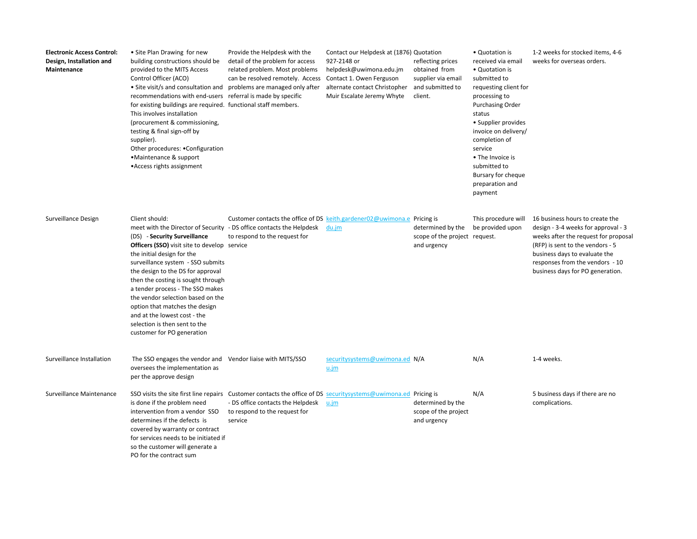| <b>Electronic Access Control:</b><br>Design, Installation and<br>Maintenance | • Site Plan Drawing for new<br>building constructions should be<br>provided to the MITS Access<br>Control Officer (ACO)<br>• Site visit/s and consultation and problems are managed only after<br>recommendations with end-users referral is made by specific<br>for existing buildings are required. functional staff members.<br>This involves installation<br>(procurement & commissioning,<br>testing & final sign-off by<br>supplier).<br>Other procedures: .Configuration<br>•Maintenance & support<br>• Access rights assignment | Provide the Helpdesk with the<br>detail of the problem for access<br>related problem. Most problems<br>can be resolved remotely. Access                                                          | Contact our Helpdesk at (1876) Quotation<br>927-2148 or<br>helpdesk@uwimona.edu.jm<br>Contact 1. Owen Ferguson<br>alternate contact Christopher<br>Muir Escalate Jeremy Whyte | reflecting prices<br>obtained from<br>supplier via email<br>and submitted to<br>client. | • Quotation is<br>received via email<br>• Quotation is<br>submitted to<br>requesting client for<br>processing to<br><b>Purchasing Order</b><br>status<br>• Supplier provides<br>invoice on delivery/<br>completion of<br>service<br>• The Invoice is<br>submitted to<br>Bursary for cheque<br>preparation and<br>payment | 1-2 weeks for stocked items, 4-6<br>weeks for overseas orders.                                                                                                                                                                                             |
|------------------------------------------------------------------------------|-----------------------------------------------------------------------------------------------------------------------------------------------------------------------------------------------------------------------------------------------------------------------------------------------------------------------------------------------------------------------------------------------------------------------------------------------------------------------------------------------------------------------------------------|--------------------------------------------------------------------------------------------------------------------------------------------------------------------------------------------------|-------------------------------------------------------------------------------------------------------------------------------------------------------------------------------|-----------------------------------------------------------------------------------------|--------------------------------------------------------------------------------------------------------------------------------------------------------------------------------------------------------------------------------------------------------------------------------------------------------------------------|------------------------------------------------------------------------------------------------------------------------------------------------------------------------------------------------------------------------------------------------------------|
| Surveillance Design                                                          | Client should:<br>meet with the Director of Security - DS office contacts the Helpdesk<br>(DS) - Security Surveillance<br><b>Officers (SSO)</b> visit site to develop service<br>the initial design for the<br>surveillance system - SSO submits<br>the design to the DS for approval<br>then the costing is sought through<br>a tender process - The SSO makes<br>the vendor selection based on the<br>option that matches the design<br>and at the lowest cost - the<br>selection is then sent to the<br>customer for PO generation   | Customer contacts the office of DS keith.gardener02@uwimona.e Pricing is<br>to respond to the request for                                                                                        | du.jm                                                                                                                                                                         | determined by the<br>scope of the project request.<br>and urgency                       | This procedure will<br>be provided upon                                                                                                                                                                                                                                                                                  | 16 business hours to create the<br>design - 3-4 weeks for approval - 3<br>weeks after the request for proposal<br>(RFP) is sent to the vendors - 5<br>business days to evaluate the<br>responses from the vendors - 10<br>business days for PO generation. |
| Surveillance Installation                                                    | The SSO engages the vendor and Vendor liaise with MITS/SSO<br>oversees the implementation as<br>per the approve design                                                                                                                                                                                                                                                                                                                                                                                                                  |                                                                                                                                                                                                  | securitysystems@uwimona.ed N/A<br>u.jm                                                                                                                                        |                                                                                         | N/A                                                                                                                                                                                                                                                                                                                      | 1-4 weeks.                                                                                                                                                                                                                                                 |
| Surveillance Maintenance                                                     | is done if the problem need<br>intervention from a vendor SSO<br>determines if the defects is<br>covered by warranty or contract<br>for services needs to be initiated if<br>so the customer will generate a<br>PO for the contract sum                                                                                                                                                                                                                                                                                                 | SSO visits the site first line repairs Customer contacts the office of DS securitysystems@uwimona.ed Pricing is<br>- DS office contacts the Helpdesk<br>to respond to the request for<br>service | u.jm                                                                                                                                                                          | determined by the<br>scope of the project<br>and urgency                                | N/A                                                                                                                                                                                                                                                                                                                      | 5 business days if there are no<br>complications.                                                                                                                                                                                                          |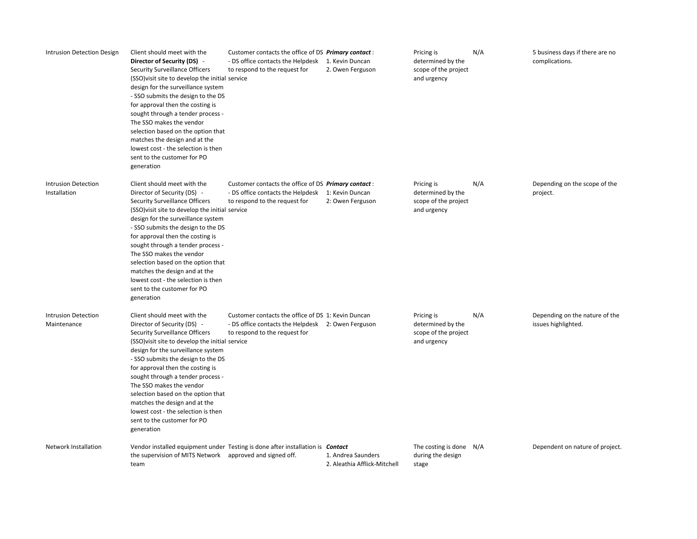| Intrusion Detection Design                 | Client should meet with the<br>Director of Security (DS) -<br>Security Surveillance Officers<br>(SSO) visit site to develop the initial service<br>design for the surveillance system<br>- SSO submits the design to the DS<br>for approval then the costing is<br>sought through a tender process -<br>The SSO makes the vendor<br>selection based on the option that<br>matches the design and at the<br>lowest cost - the selection is then<br>sent to the customer for PO<br>generation | Customer contacts the office of DS Primary contact:<br>- DS office contacts the Helpdesk 1. Kevin Duncan<br>to respond to the request for | 2. Owen Ferguson                                   | Pricing is<br>determined by the<br>scope of the project<br>and urgency | N/A | 5 business days if there are no<br>complications.     |
|--------------------------------------------|---------------------------------------------------------------------------------------------------------------------------------------------------------------------------------------------------------------------------------------------------------------------------------------------------------------------------------------------------------------------------------------------------------------------------------------------------------------------------------------------|-------------------------------------------------------------------------------------------------------------------------------------------|----------------------------------------------------|------------------------------------------------------------------------|-----|-------------------------------------------------------|
| <b>Intrusion Detection</b><br>Installation | Client should meet with the<br>Director of Security (DS) -<br>Security Surveillance Officers<br>(SSO) visit site to develop the initial service<br>design for the surveillance system<br>- SSO submits the design to the DS<br>for approval then the costing is<br>sought through a tender process -<br>The SSO makes the vendor<br>selection based on the option that<br>matches the design and at the<br>lowest cost - the selection is then<br>sent to the customer for PO<br>generation | Customer contacts the office of DS Primary contact:<br>- DS office contacts the Helpdesk 1: Kevin Duncan<br>to respond to the request for | 2: Owen Ferguson                                   | Pricing is<br>determined by the<br>scope of the project<br>and urgency | N/A | Depending on the scope of the<br>project.             |
| <b>Intrusion Detection</b><br>Maintenance  | Client should meet with the<br>Director of Security (DS) -<br>Security Surveillance Officers<br>(SSO) visit site to develop the initial service<br>design for the surveillance system<br>- SSO submits the design to the DS<br>for approval then the costing is<br>sought through a tender process -<br>The SSO makes the vendor<br>selection based on the option that<br>matches the design and at the<br>lowest cost - the selection is then<br>sent to the customer for PO<br>generation | Customer contacts the office of DS 1: Kevin Duncan<br>- DS office contacts the Helpdesk 2: Owen Ferguson<br>to respond to the request for |                                                    | Pricing is<br>determined by the<br>scope of the project<br>and urgency | N/A | Depending on the nature of the<br>issues highlighted. |
| Network Installation                       | the supervision of MITS Network approved and signed off.<br>team                                                                                                                                                                                                                                                                                                                                                                                                                            | Vendor installed equipment under Testing is done after installation is <b>Contact</b>                                                     | 1. Andrea Saunders<br>2. Aleathia Afflick-Mitchell | The costing is done $N/A$<br>during the design<br>stage                |     | Dependent on nature of project.                       |